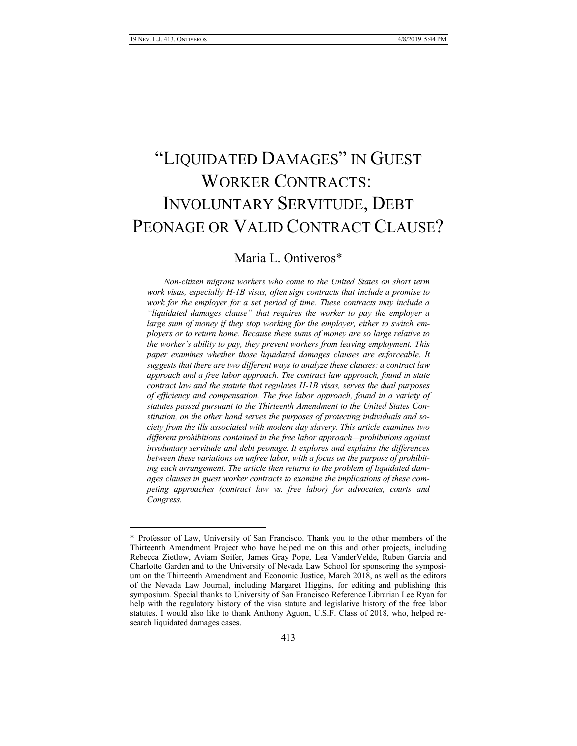$\overline{a}$ 

# "LIQUIDATED DAMAGES" IN GUEST WORKER CONTRACTS: INVOLUNTARY SERVITUDE, DEBT PEONAGE OR VALID CONTRACT CLAUSE?

# Maria L. Ontiveros\*

*Non-citizen migrant workers who come to the United States on short term work visas, especially H-1B visas, often sign contracts that include a promise to work for the employer for a set period of time. These contracts may include a "liquidated damages clause" that requires the worker to pay the employer a large sum of money if they stop working for the employer, either to switch employers or to return home. Because these sums of money are so large relative to the worker's ability to pay, they prevent workers from leaving employment. This paper examines whether those liquidated damages clauses are enforceable. It suggests that there are two different ways to analyze these clauses: a contract law approach and a free labor approach. The contract law approach, found in state contract law and the statute that regulates H-1B visas, serves the dual purposes of efficiency and compensation. The free labor approach, found in a variety of statutes passed pursuant to the Thirteenth Amendment to the United States Constitution, on the other hand serves the purposes of protecting individuals and society from the ills associated with modern day slavery. This article examines two different prohibitions contained in the free labor approach—prohibitions against involuntary servitude and debt peonage. It explores and explains the differences between these variations on unfree labor, with a focus on the purpose of prohibiting each arrangement. The article then returns to the problem of liquidated damages clauses in guest worker contracts to examine the implications of these competing approaches (contract law vs. free labor) for advocates, courts and Congress.*

<sup>\*</sup> Professor of Law, University of San Francisco. Thank you to the other members of the Thirteenth Amendment Project who have helped me on this and other projects, including Rebecca Zietlow, Aviam Soifer, James Gray Pope, Lea VanderVelde, Ruben Garcia and Charlotte Garden and to the University of Nevada Law School for sponsoring the symposium on the Thirteenth Amendment and Economic Justice, March 2018, as well as the editors of the Nevada Law Journal, including Margaret Higgins, for editing and publishing this symposium. Special thanks to University of San Francisco Reference Librarian Lee Ryan for help with the regulatory history of the visa statute and legislative history of the free labor statutes. I would also like to thank Anthony Aguon, U.S.F. Class of 2018, who, helped research liquidated damages cases.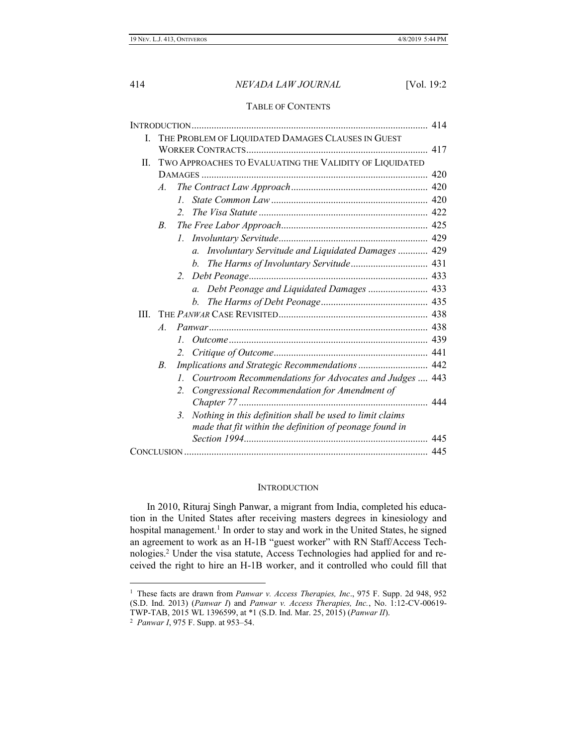# TABLE OF CONTENTS

| L.   | THE PROBLEM OF LIQUIDATED DAMAGES CLAUSES IN GUEST |                                                                                  |     |
|------|----------------------------------------------------|----------------------------------------------------------------------------------|-----|
|      |                                                    |                                                                                  |     |
| II.  |                                                    | TWO APPROACHES TO EVALUATING THE VALIDITY OF LIQUIDATED                          |     |
|      |                                                    |                                                                                  |     |
|      | $\mathcal{A}$ .                                    |                                                                                  |     |
|      |                                                    | $I_{-}$                                                                          |     |
|      |                                                    | $2^{1}$                                                                          |     |
|      | B.                                                 |                                                                                  |     |
|      |                                                    | $\mathcal{L}$                                                                    |     |
|      |                                                    | Involuntary Servitude and Liquidated Damages  429<br>$\mathfrak{a}$ .            |     |
|      |                                                    | b.                                                                               |     |
|      |                                                    | $2^{\circ}$                                                                      |     |
|      |                                                    | $a_{\cdot}$                                                                      |     |
|      |                                                    | $h_{\cdot}$                                                                      |     |
| III. |                                                    |                                                                                  |     |
|      | $\mathcal{A}$ .                                    |                                                                                  |     |
|      |                                                    | $I_{-}$                                                                          |     |
|      |                                                    | 2.                                                                               |     |
|      | $B_{\cdot}$                                        |                                                                                  |     |
|      |                                                    | Courtroom Recommendations for Advocates and Judges  443<br>$\mathcal{I}_{\cdot}$ |     |
|      |                                                    | Congressional Recommendation for Amendment of<br>$\overline{2}$                  |     |
|      |                                                    |                                                                                  | 444 |
|      |                                                    | Nothing in this definition shall be used to limit claims<br>$\mathbf{3}$         |     |
|      |                                                    | made that fit within the definition of peonage found in                          |     |
|      |                                                    |                                                                                  |     |
|      |                                                    |                                                                                  |     |
|      |                                                    |                                                                                  |     |

# **INTRODUCTION**

In 2010, Rituraj Singh Panwar, a migrant from India, completed his education in the United States after receiving masters degrees in kinesiology and hospital management.<sup>1</sup> In order to stay and work in the United States, he signed an agreement to work as an H-1B "guest worker" with RN Staff/Access Technologies. <sup>2</sup> Under the visa statute, Access Technologies had applied for and received the right to hire an H-1B worker, and it controlled who could fill that

l

<sup>1</sup> These facts are drawn from *Panwar v. Access Therapies, Inc*., 975 F. Supp. 2d 948, 952 (S.D. Ind. 2013) (*Panwar I*) and *Panwar v. Access Therapies, Inc.*, No. 1:12-CV-00619- TWP-TAB, 2015 WL 1396599, at \*1 (S.D. Ind. Mar. 25, 2015) (*Panwar II*).

<sup>2</sup> *Panwar I*, 975 F. Supp. at 953–54.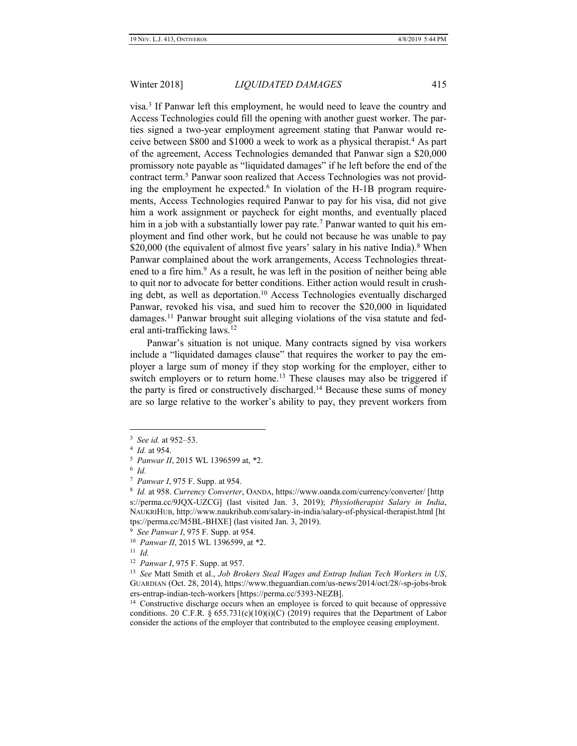visa. 3 If Panwar left this employment, he would need to leave the country and Access Technologies could fill the opening with another guest worker. The parties signed a two-year employment agreement stating that Panwar would receive between \$800 and \$1000 a week to work as a physical therapist.<sup>4</sup> As part of the agreement, Access Technologies demanded that Panwar sign a \$20,000 promissory note payable as "liquidated damages" if he left before the end of the contract term.<sup>5</sup> Panwar soon realized that Access Technologies was not providing the employment he expected.<sup>6</sup> In violation of the H-1B program requirements, Access Technologies required Panwar to pay for his visa, did not give him a work assignment or paycheck for eight months, and eventually placed him in a job with a substantially lower pay rate.<sup>7</sup> Panwar wanted to quit his employment and find other work, but he could not because he was unable to pay \$20,000 (the equivalent of almost five years' salary in his native India). $8$  When Panwar complained about the work arrangements, Access Technologies threatened to a fire him. <sup>9</sup> As a result, he was left in the position of neither being able to quit nor to advocate for better conditions. Either action would result in crushing debt, as well as deportation. <sup>10</sup> Access Technologies eventually discharged Panwar, revoked his visa, and sued him to recover the \$20,000 in liquidated damages.<sup>11</sup> Panwar brought suit alleging violations of the visa statute and federal anti-trafficking laws.<sup>12</sup>

Panwar's situation is not unique. Many contracts signed by visa workers include a "liquidated damages clause" that requires the worker to pay the employer a large sum of money if they stop working for the employer, either to switch employers or to return home.<sup>13</sup> These clauses may also be triggered if the party is fired or constructively discharged. <sup>14</sup> Because these sums of money are so large relative to the worker's ability to pay, they prevent workers from

<sup>3</sup> *See id.* at 952–53.

<sup>4</sup> *Id.* at 954.

<sup>5</sup> *Panwar II*, 2015 WL 1396599 at, \*2.

<sup>6</sup> *Id.*

<sup>7</sup> *Panwar I*, 975 F. Supp. at 954.

<sup>8</sup> *Id.* at 958. *Currency Converter*, OANDA, https://www.oanda.com/currency/converter/ [http s://perma.cc/9JQX-UZCG] (last visited Jan. 3, 2019); *Physiotherapist Salary in India*, NAUKRIHUB, http://www.naukrihub.com/salary-in-india/salary-of-physical-therapist.html [ht tps://perma.cc/M5BL-BHXE] (last visited Jan. 3, 2019).

<sup>9</sup> *See Panwar I*, 975 F. Supp. at 954.

<sup>10</sup> *Panwar II*, 2015 WL 1396599, at \*2.

<sup>11</sup> *Id.*

<sup>12</sup> *Panwar I*, 975 F. Supp. at 957.

<sup>13</sup> *See* Matt Smith et al., *Job Brokers Steal Wages and Entrap Indian Tech Workers in US*, GUARDIAN (Oct. 28, 2014), https://www.theguardian.com/us-news/2014/oct/28/-sp-jobs-brok ers-entrap-indian-tech-workers [https://perma.cc/5393-NEZB].

<sup>&</sup>lt;sup>14</sup> Constructive discharge occurs when an employee is forced to quit because of oppressive conditions. 20 C.F.R. § 655.731(c)(10)(i)(C) (2019) requires that the Department of Labor consider the actions of the employer that contributed to the employee ceasing employment.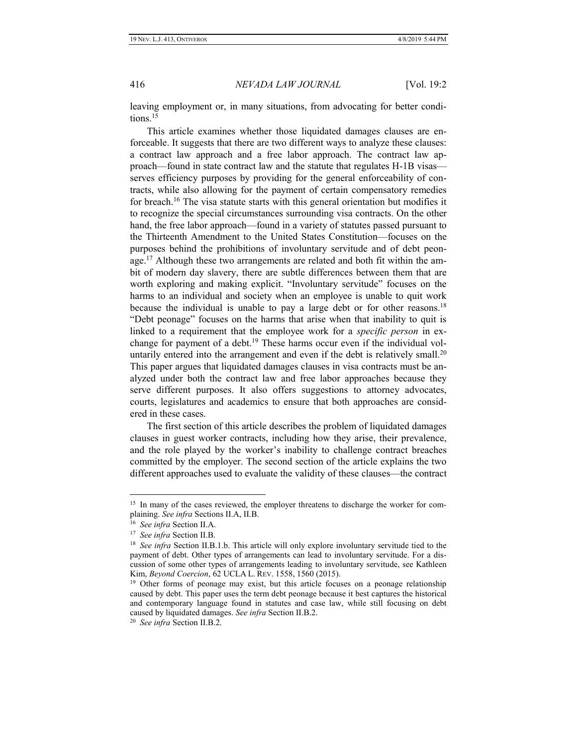leaving employment or, in many situations, from advocating for better conditions.<sup>15</sup>

This article examines whether those liquidated damages clauses are enforceable. It suggests that there are two different ways to analyze these clauses: a contract law approach and a free labor approach. The contract law approach—found in state contract law and the statute that regulates H-1B visas serves efficiency purposes by providing for the general enforceability of contracts, while also allowing for the payment of certain compensatory remedies for breach.<sup>16</sup> The visa statute starts with this general orientation but modifies it to recognize the special circumstances surrounding visa contracts. On the other hand, the free labor approach—found in a variety of statutes passed pursuant to the Thirteenth Amendment to the United States Constitution—focuses on the purposes behind the prohibitions of involuntary servitude and of debt peonage.<sup>17</sup> Although these two arrangements are related and both fit within the ambit of modern day slavery, there are subtle differences between them that are worth exploring and making explicit. "Involuntary servitude" focuses on the harms to an individual and society when an employee is unable to quit work because the individual is unable to pay a large debt or for other reasons.<sup>18</sup> "Debt peonage" focuses on the harms that arise when that inability to quit is linked to a requirement that the employee work for a *specific person* in exchange for payment of a debt. <sup>19</sup> These harms occur even if the individual voluntarily entered into the arrangement and even if the debt is relatively small.<sup>20</sup> This paper argues that liquidated damages clauses in visa contracts must be analyzed under both the contract law and free labor approaches because they serve different purposes. It also offers suggestions to attorney advocates, courts, legislatures and academics to ensure that both approaches are considered in these cases.

The first section of this article describes the problem of liquidated damages clauses in guest worker contracts, including how they arise, their prevalence, and the role played by the worker's inability to challenge contract breaches committed by the employer. The second section of the article explains the two different approaches used to evaluate the validity of these clauses—the contract

<sup>&</sup>lt;sup>15</sup> In many of the cases reviewed, the employer threatens to discharge the worker for complaining. *See infra* Sections II.A, II.B.

<sup>16</sup> *See infra* Section II.A.

<sup>17</sup> *See infra* Section II.B.

<sup>&</sup>lt;sup>18</sup> See infra Section II.B.1.b. This article will only explore involuntary servitude tied to the payment of debt. Other types of arrangements can lead to involuntary servitude. For a discussion of some other types of arrangements leading to involuntary servitude, see Kathleen Kim, *Beyond Coercion*, 62 UCLA L. REV. 1558, 1560 (2015).

<sup>&</sup>lt;sup>19</sup> Other forms of peonage may exist, but this article focuses on a peonage relationship caused by debt. This paper uses the term debt peonage because it best captures the historical and contemporary language found in statutes and case law, while still focusing on debt caused by liquidated damages. *See infra* Section II.B.2.

<sup>20</sup> *See infra* Section II.B.2.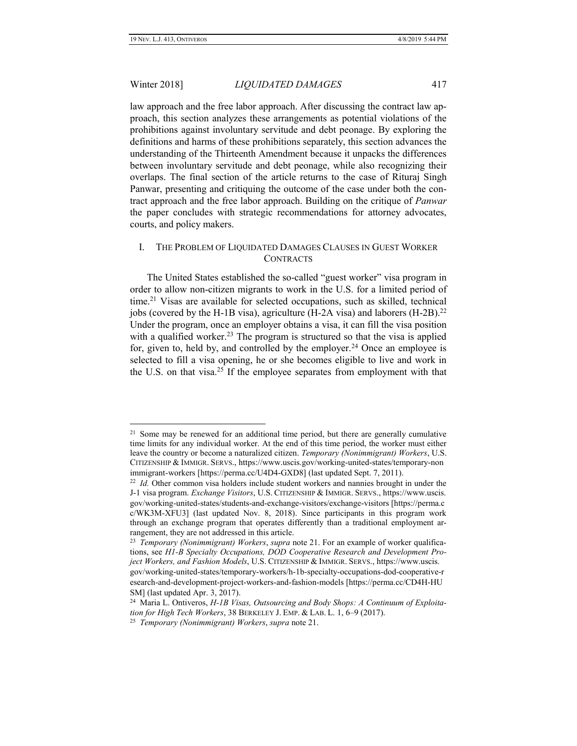$\overline{a}$ 

# Winter 2018] *LIQUIDATED DAMAGES* 417

law approach and the free labor approach. After discussing the contract law approach, this section analyzes these arrangements as potential violations of the prohibitions against involuntary servitude and debt peonage. By exploring the definitions and harms of these prohibitions separately, this section advances the understanding of the Thirteenth Amendment because it unpacks the differences between involuntary servitude and debt peonage, while also recognizing their overlaps. The final section of the article returns to the case of Rituraj Singh Panwar, presenting and critiquing the outcome of the case under both the contract approach and the free labor approach. Building on the critique of *Panwar* the paper concludes with strategic recommendations for attorney advocates, courts, and policy makers.

# I. THE PROBLEM OF LIQUIDATED DAMAGES CLAUSES IN GUEST WORKER **CONTRACTS**

The United States established the so-called "guest worker" visa program in order to allow non-citizen migrants to work in the U.S. for a limited period of time.<sup>21</sup> Visas are available for selected occupations, such as skilled, technical jobs (covered by the H-1B visa), agriculture (H-2A visa) and laborers (H-2B).<sup>22</sup> Under the program, once an employer obtains a visa, it can fill the visa position with a qualified worker.<sup>23</sup> The program is structured so that the visa is applied for, given to, held by, and controlled by the employer.<sup>24</sup> Once an employee is selected to fill a visa opening, he or she becomes eligible to live and work in the U.S. on that visa.<sup>25</sup> If the employee separates from employment with that

<sup>&</sup>lt;sup>21</sup> Some may be renewed for an additional time period, but there are generally cumulative time limits for any individual worker. At the end of this time period, the worker must either leave the country or become a naturalized citizen. *Temporary (Nonimmigrant) Workers*, U.S. CITIZENSHIP & IMMIGR. SERVS., https://www.uscis.gov/working-united-states/temporary-non immigrant-workers [https://perma.cc/U4D4-GXD8] (last updated Sept. 7, 2011).

<sup>&</sup>lt;sup>22</sup> *Id.* Other common visa holders include student workers and nannies brought in under the J-1 visa program. *Exchange Visitors*, U.S. CITIZENSHIP & IMMIGR. SERVS., https://www.uscis. gov/working-united-states/students-and-exchange-visitors/exchange-visitors [https://perma.c c/WK3M-XFU3] (last updated Nov. 8, 2018). Since participants in this program work through an exchange program that operates differently than a traditional employment arrangement, they are not addressed in this article.

<sup>23</sup> *Temporary (Nonimmigrant) Workers*, *supra* note 21. For an example of worker qualifications, see *H1-B Specialty Occupations, DOD Cooperative Research and Development Project Workers, and Fashion Models*, U.S. CITIZENSHIP & IMMIGR. SERVS., https://www.uscis. gov/working-united-states/temporary-workers/h-1b-specialty-occupations-dod-cooperative-r esearch-and-development-project-workers-and-fashion-models [https://perma.cc/CD4H-HU SM] (last updated Apr. 3, 2017).

<sup>24</sup> Maria L. Ontiveros, *H-1B Visas, Outsourcing and Body Shops: A Continuum of Exploitation for High Tech Workers*, 38 BERKELEY J. EMP. & LAB. L. 1, 6–9 (2017).

<sup>25</sup> *Temporary (Nonimmigrant) Workers*, *supra* note 21.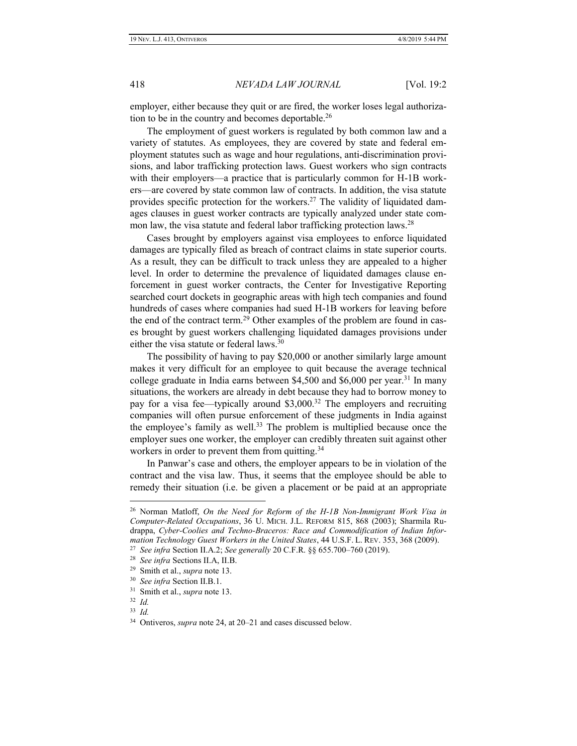employer, either because they quit or are fired, the worker loses legal authorization to be in the country and becomes deportable.<sup>26</sup>

The employment of guest workers is regulated by both common law and a variety of statutes. As employees, they are covered by state and federal employment statutes such as wage and hour regulations, anti-discrimination provisions, and labor trafficking protection laws. Guest workers who sign contracts with their employers—a practice that is particularly common for H-1B workers—are covered by state common law of contracts. In addition, the visa statute provides specific protection for the workers.<sup>27</sup> The validity of liquidated damages clauses in guest worker contracts are typically analyzed under state common law, the visa statute and federal labor trafficking protection laws.<sup>28</sup>

Cases brought by employers against visa employees to enforce liquidated damages are typically filed as breach of contract claims in state superior courts. As a result, they can be difficult to track unless they are appealed to a higher level. In order to determine the prevalence of liquidated damages clause enforcement in guest worker contracts, the Center for Investigative Reporting searched court dockets in geographic areas with high tech companies and found hundreds of cases where companies had sued H-1B workers for leaving before the end of the contract term.<sup>29</sup> Other examples of the problem are found in cases brought by guest workers challenging liquidated damages provisions under either the visa statute or federal laws.<sup>30</sup>

The possibility of having to pay \$20,000 or another similarly large amount makes it very difficult for an employee to quit because the average technical college graduate in India earns between \$4,500 and \$6,000 per year.<sup>31</sup> In many situations, the workers are already in debt because they had to borrow money to pay for a visa fee—typically around \$3,000.<sup>32</sup> The employers and recruiting companies will often pursue enforcement of these judgments in India against the employee's family as well.<sup>33</sup> The problem is multiplied because once the employer sues one worker, the employer can credibly threaten suit against other workers in order to prevent them from quitting.<sup>34</sup>

In Panwar's case and others, the employer appears to be in violation of the contract and the visa law. Thus, it seems that the employee should be able to remedy their situation (i.e. be given a placement or be paid at an appropriate

<sup>26</sup> Norman Matloff, *On the Need for Reform of the H-1B Non-Immigrant Work Visa in Computer-Related Occupations*, 36 U. MICH. J.L. REFORM 815, 868 (2003); Sharmila Rudrappa, *Cyber-Coolies and Techno-Braceros: Race and Commodification of Indian Information Technology Guest Workers in the United States*, 44 U.S.F. L. REV. 353, 368 (2009).

<sup>27</sup> *See infra* Section II.A.2; *See generally* 20 C.F.R. §§ 655.700–760 (2019).

<sup>28</sup> *See infra* Sections II.A, II.B.

<sup>29</sup> Smith et al., *supra* note 13.

<sup>30</sup> *See infra* Section II.B.1.

<sup>31</sup> Smith et al., *supra* note 13.

<sup>32</sup> *Id.*

<sup>33</sup> *Id.*

<sup>34</sup> Ontiveros, *supra* note 24, at 20–21 and cases discussed below.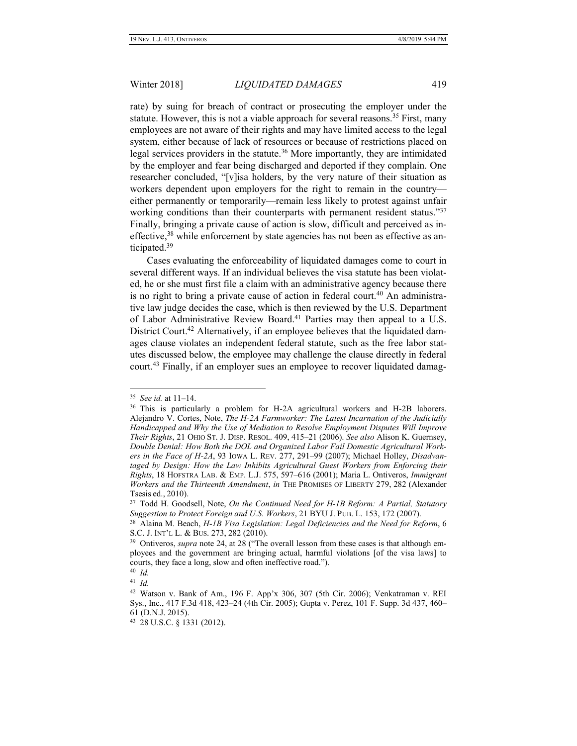rate) by suing for breach of contract or prosecuting the employer under the statute. However, this is not a viable approach for several reasons.<sup>35</sup> First, many employees are not aware of their rights and may have limited access to the legal system, either because of lack of resources or because of restrictions placed on legal services providers in the statute. <sup>36</sup> More importantly, they are intimidated by the employer and fear being discharged and deported if they complain. One researcher concluded, "[v]isa holders, by the very nature of their situation as workers dependent upon employers for the right to remain in the country either permanently or temporarily—remain less likely to protest against unfair working conditions than their counterparts with permanent resident status."37 Finally, bringing a private cause of action is slow, difficult and perceived as ineffective,<sup>38</sup> while enforcement by state agencies has not been as effective as anticipated.<sup>39</sup>

Cases evaluating the enforceability of liquidated damages come to court in several different ways. If an individual believes the visa statute has been violated, he or she must first file a claim with an administrative agency because there is no right to bring a private cause of action in federal court.<sup>40</sup> An administrative law judge decides the case, which is then reviewed by the U.S. Department of Labor Administrative Review Board.<sup>41</sup> Parties may then appeal to a U.S. District Court.<sup>42</sup> Alternatively, if an employee believes that the liquidated damages clause violates an independent federal statute, such as the free labor statutes discussed below, the employee may challenge the clause directly in federal court.<sup>43</sup> Finally, if an employer sues an employee to recover liquidated damag-

<sup>35</sup> *See id.* at 11–14.

<sup>&</sup>lt;sup>36</sup> This is particularly a problem for H-2A agricultural workers and H-2B laborers. Alejandro V. Cortes, Note, *The H-2A Farmworker: The Latest Incarnation of the Judicially Handicapped and Why the Use of Mediation to Resolve Employment Disputes Will Improve Their Rights*, 21 OHIO ST. J. DISP. RESOL. 409, 415–21 (2006). *See also* Alison K. Guernsey, *Double Denial: How Both the DOL and Organized Labor Fail Domestic Agricultural Workers in the Face of H-2A*, 93 IOWA L. REV. 277, 291–99 (2007); Michael Holley, *Disadvan*taged by Design: How the Law Inhibits Agricultural Guest Workers from Enforcing their *Rights*, 18 HOFSTRA LAB. & EMP. L.J. 575, 597–616 (2001); Maria L. Ontiveros, *Immigrant Workers and the Thirteenth Amendment*, *in* THE PROMISES OF LIBERTY 279, 282 (Alexander Tsesis ed., 2010).

<sup>37</sup> Todd H. Goodsell, Note, *On the Continued Need for H-1B Reform: A Partial, Statutory Suggestion to Protect Foreign and U.S. Workers*, 21 BYU J. PUB. L. 153, 172 (2007).

<sup>38</sup> Alaina M. Beach, *H-1B Visa Legislation: Legal Deficiencies and the Need for Reform*, 6 S.C. J. INT'L L. & BUS. 273, 282 (2010).

<sup>&</sup>lt;sup>39</sup> Ontiveros, *supra* note 24, at 28 ("The overall lesson from these cases is that although employees and the government are bringing actual, harmful violations [of the visa laws] to courts, they face a long, slow and often ineffective road.").

<sup>40</sup> *Id.* 41 *Id.*

<sup>42</sup> Watson v. Bank of Am., 196 F. App'x 306, 307 (5th Cir. 2006); Venkatraman v. REI Sys., Inc., 417 F.3d 418, 423–24 (4th Cir. 2005); Gupta v. Perez, 101 F. Supp. 3d 437, 460– 61 (D.N.J. 2015).

<sup>43</sup> 28 U.S.C. § 1331 (2012).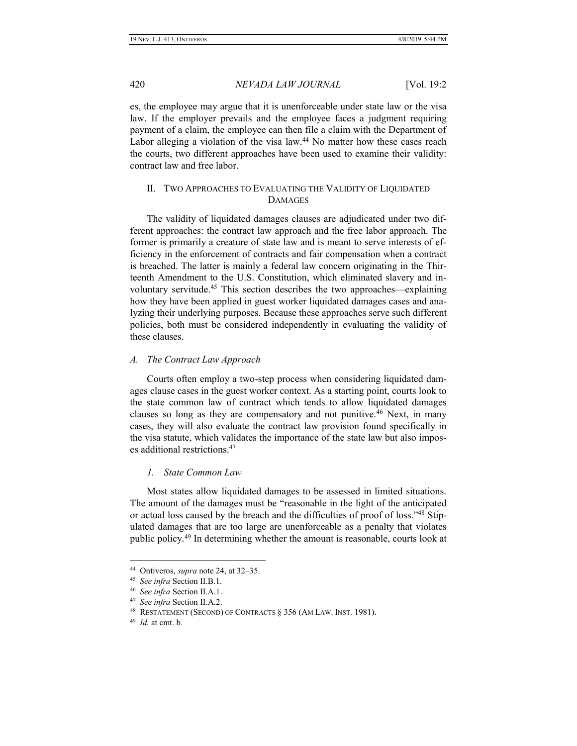es, the employee may argue that it is unenforceable under state law or the visa law. If the employer prevails and the employee faces a judgment requiring payment of a claim, the employee can then file a claim with the Department of Labor alleging a violation of the visa law.<sup>44</sup> No matter how these cases reach the courts, two different approaches have been used to examine their validity: contract law and free labor.

# II. TWO APPROACHES TO EVALUATING THE VALIDITY OF LIQUIDATED **DAMAGES**

The validity of liquidated damages clauses are adjudicated under two different approaches: the contract law approach and the free labor approach. The former is primarily a creature of state law and is meant to serve interests of efficiency in the enforcement of contracts and fair compensation when a contract is breached. The latter is mainly a federal law concern originating in the Thirteenth Amendment to the U.S. Constitution, which eliminated slavery and involuntary servitude.<sup>45</sup> This section describes the two approaches—explaining how they have been applied in guest worker liquidated damages cases and analyzing their underlying purposes. Because these approaches serve such different policies, both must be considered independently in evaluating the validity of these clauses.

### *A. The Contract Law Approach*

Courts often employ a two-step process when considering liquidated damages clause cases in the guest worker context. As a starting point, courts look to the state common law of contract which tends to allow liquidated damages clauses so long as they are compensatory and not punitive.<sup>46</sup> Next, in many cases, they will also evaluate the contract law provision found specifically in the visa statute, which validates the importance of the state law but also imposes additional restrictions.<sup>47</sup>

### *1. State Common Law*

Most states allow liquidated damages to be assessed in limited situations. The amount of the damages must be "reasonable in the light of the anticipated or actual loss caused by the breach and the difficulties of proof of loss."<sup>48</sup> Stipulated damages that are too large are unenforceable as a penalty that violates public policy.<sup>49</sup> In determining whether the amount is reasonable, courts look at

<sup>44</sup> Ontiveros, *supra* note 24, at 32–35.

<sup>45</sup> *See infra* Section II.B.1.

<sup>46</sup> *See infra* Section II.A.1.

<sup>47</sup> *See infra* Section II.A.2.

<sup>48</sup> RESTATEMENT (SECOND) OF CONTRACTS § 356 (AM LAW. INST. 1981).

<sup>49</sup> *Id.* at cmt. b*.*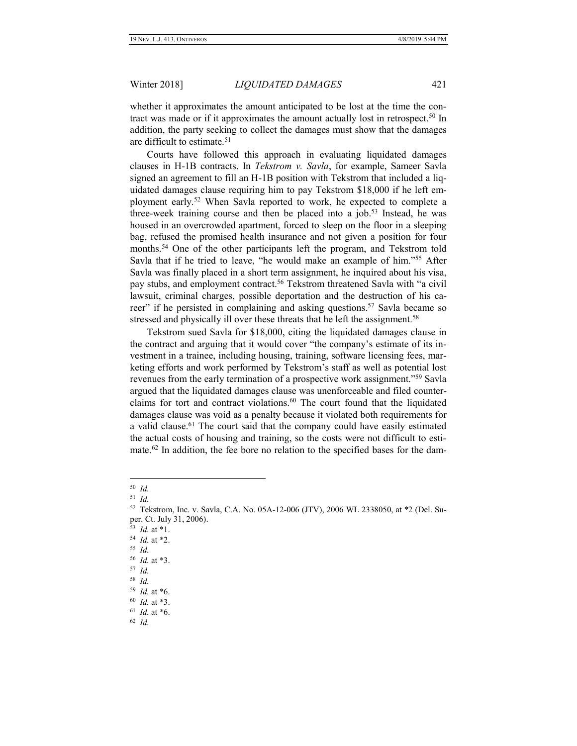whether it approximates the amount anticipated to be lost at the time the contract was made or if it approximates the amount actually lost in retrospect.<sup>50</sup> In addition, the party seeking to collect the damages must show that the damages are difficult to estimate.<sup>51</sup>

Courts have followed this approach in evaluating liquidated damages clauses in H-1B contracts. In *Tekstrom v. Savla*, for example, Sameer Savla signed an agreement to fill an H-1B position with Tekstrom that included a liquidated damages clause requiring him to pay Tekstrom \$18,000 if he left employment early.<sup>52</sup> When Savla reported to work, he expected to complete a three-week training course and then be placed into a job.<sup>53</sup> Instead, he was housed in an overcrowded apartment, forced to sleep on the floor in a sleeping bag, refused the promised health insurance and not given a position for four months.<sup>54</sup> One of the other participants left the program, and Tekstrom told Savla that if he tried to leave, "he would make an example of him."<sup>55</sup> After Savla was finally placed in a short term assignment, he inquired about his visa, pay stubs, and employment contract.<sup>56</sup> Tekstrom threatened Savla with "a civil lawsuit, criminal charges, possible deportation and the destruction of his career" if he persisted in complaining and asking questions.<sup>57</sup> Savla became so stressed and physically ill over these threats that he left the assignment.<sup>58</sup>

Tekstrom sued Savla for \$18,000, citing the liquidated damages clause in the contract and arguing that it would cover "the company's estimate of its investment in a trainee, including housing, training, software licensing fees, marketing efforts and work performed by Tekstrom's staff as well as potential lost revenues from the early termination of a prospective work assignment."<sup>59</sup> Savla argued that the liquidated damages clause was unenforceable and filed counterclaims for tort and contract violations.<sup>60</sup> The court found that the liquidated damages clause was void as a penalty because it violated both requirements for a valid clause.<sup>61</sup> The court said that the company could have easily estimated the actual costs of housing and training, so the costs were not difficult to estimate.<sup>62</sup> In addition, the fee bore no relation to the specified bases for the dam-

<sup>50</sup> *Id.*

<sup>51</sup> *Id.*

<sup>52</sup> Tekstrom, Inc. v. Savla, C.A. No. 05A-12-006 (JTV), 2006 WL 2338050, at \*2 (Del. Super. Ct. July 31, 2006).

<sup>53</sup> *Id.* at \*1.

<sup>54</sup> *Id.* at \*2.

<sup>55</sup> *Id.*

<sup>56</sup> *Id.* at \*3.

<sup>57</sup> *Id.*

<sup>58</sup> *Id.*

<sup>59</sup> *Id.* at \*6.

<sup>60</sup> *Id.* at \*3.

<sup>61</sup> *Id.* at \*6.

<sup>62</sup> *Id.*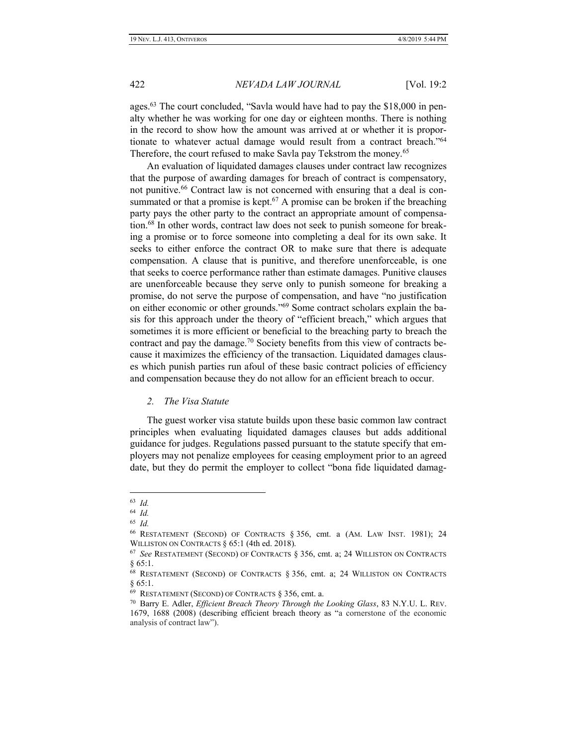ages.<sup>63</sup> The court concluded, "Savla would have had to pay the \$18,000 in penalty whether he was working for one day or eighteen months. There is nothing in the record to show how the amount was arrived at or whether it is proportionate to whatever actual damage would result from a contract breach."<sup>64</sup> Therefore, the court refused to make Savla pay Tekstrom the money.<sup>65</sup>

An evaluation of liquidated damages clauses under contract law recognizes that the purpose of awarding damages for breach of contract is compensatory, not punitive.<sup>66</sup> Contract law is not concerned with ensuring that a deal is consummated or that a promise is kept.<sup>67</sup> A promise can be broken if the breaching party pays the other party to the contract an appropriate amount of compensation.<sup>68</sup> In other words, contract law does not seek to punish someone for breaking a promise or to force someone into completing a deal for its own sake. It seeks to either enforce the contract OR to make sure that there is adequate compensation. A clause that is punitive, and therefore unenforceable, is one that seeks to coerce performance rather than estimate damages. Punitive clauses are unenforceable because they serve only to punish someone for breaking a promise, do not serve the purpose of compensation, and have "no justification on either economic or other grounds."<sup>69</sup> Some contract scholars explain the basis for this approach under the theory of "efficient breach," which argues that sometimes it is more efficient or beneficial to the breaching party to breach the contract and pay the damage.<sup>70</sup> Society benefits from this view of contracts because it maximizes the efficiency of the transaction. Liquidated damages clauses which punish parties run afoul of these basic contract policies of efficiency and compensation because they do not allow for an efficient breach to occur.

*2. The Visa Statute*

The guest worker visa statute builds upon these basic common law contract principles when evaluating liquidated damages clauses but adds additional guidance for judges. Regulations passed pursuant to the statute specify that employers may not penalize employees for ceasing employment prior to an agreed date, but they do permit the employer to collect "bona fide liquidated damag-

<sup>63</sup> *Id.*

<sup>64</sup> *Id.*

<sup>65</sup> *Id.*

<sup>66</sup> RESTATEMENT (SECOND) OF CONTRACTS § 356, cmt. a (AM. LAW INST. 1981); 24 WILLISTON ON CONTRACTS § 65:1 (4th ed. 2018).

<sup>67</sup> *See* RESTATEMENT (SECOND) OF CONTRACTS § 356, cmt. a; 24 WILLISTON ON CONTRACTS § 65:1.

<sup>68</sup> RESTATEMENT (SECOND) OF CONTRACTS § 356, cmt. a; 24 WILLISTON ON CONTRACTS § 65:1.

<sup>69</sup> RESTATEMENT (SECOND) OF CONTRACTS § 356, cmt. a.

<sup>70</sup> Barry E. Adler, *Efficient Breach Theory Through the Looking Glass*, 83 N.Y.U. L. REV. 1679, 1688 (2008) (describing efficient breach theory as "a cornerstone of the economic analysis of contract law").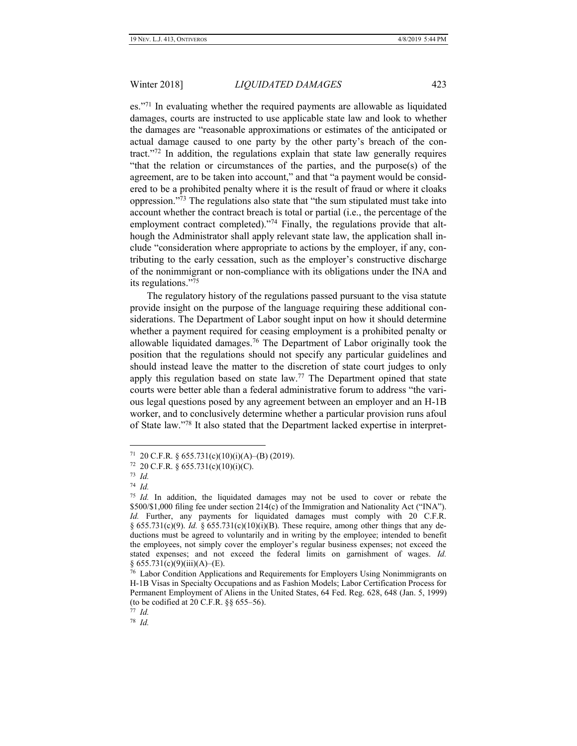es."<sup>71</sup> In evaluating whether the required payments are allowable as liquidated damages, courts are instructed to use applicable state law and look to whether the damages are "reasonable approximations or estimates of the anticipated or actual damage caused to one party by the other party's breach of the contract."<sup>72</sup> In addition, the regulations explain that state law generally requires "that the relation or circumstances of the parties, and the purpose(s) of the agreement, are to be taken into account," and that "a payment would be considered to be a prohibited penalty where it is the result of fraud or where it cloaks oppression."<sup>73</sup> The regulations also state that "the sum stipulated must take into account whether the contract breach is total or partial (i.e., the percentage of the employment contract completed)."<sup>74</sup> Finally, the regulations provide that although the Administrator shall apply relevant state law, the application shall include "consideration where appropriate to actions by the employer, if any, contributing to the early cessation, such as the employer's constructive discharge of the nonimmigrant or non-compliance with its obligations under the INA and its regulations."<sup>75</sup>

The regulatory history of the regulations passed pursuant to the visa statute provide insight on the purpose of the language requiring these additional considerations. The Department of Labor sought input on how it should determine whether a payment required for ceasing employment is a prohibited penalty or allowable liquidated damages.<sup>76</sup> The Department of Labor originally took the position that the regulations should not specify any particular guidelines and should instead leave the matter to the discretion of state court judges to only apply this regulation based on state law.<sup>77</sup> The Department opined that state courts were better able than a federal administrative forum to address "the various legal questions posed by any agreement between an employer and an H-1B worker, and to conclusively determine whether a particular provision runs afoul of State law."<sup>78</sup> It also stated that the Department lacked expertise in interpret-

 $71$  20 C.F.R. § 655.731(c)(10)(i)(A)–(B) (2019).

 $72$  20 C.F.R. § 655.731(c)(10)(i)(C).

<sup>73</sup> *Id.*

<sup>74</sup> *Id.*

<sup>75</sup> *Id.* In addition, the liquidated damages may not be used to cover or rebate the \$500/\$1,000 filing fee under section 214(c) of the Immigration and Nationality Act ("INA"). *Id.* Further, any payments for liquidated damages must comply with 20 C.F.R. § 655.731(c)(9). *Id.* § 655.731(c)(10)(i)(B). These require, among other things that any deductions must be agreed to voluntarily and in writing by the employee; intended to benefit the employees, not simply cover the employer's regular business expenses; not exceed the stated expenses; and not exceed the federal limits on garnishment of wages. *Id.*  $§ 655.731(c)(9)(iii)(A)–(E).$ 

<sup>&</sup>lt;sup>76</sup> Labor Condition Applications and Requirements for Employers Using Nonimmigrants on H-1B Visas in Specialty Occupations and as Fashion Models; Labor Certification Process for Permanent Employment of Aliens in the United States, 64 Fed. Reg. 628, 648 (Jan. 5, 1999) (to be codified at 20 C.F.R. §§ 655–56).

<sup>77</sup> *Id.*

<sup>78</sup> *Id.*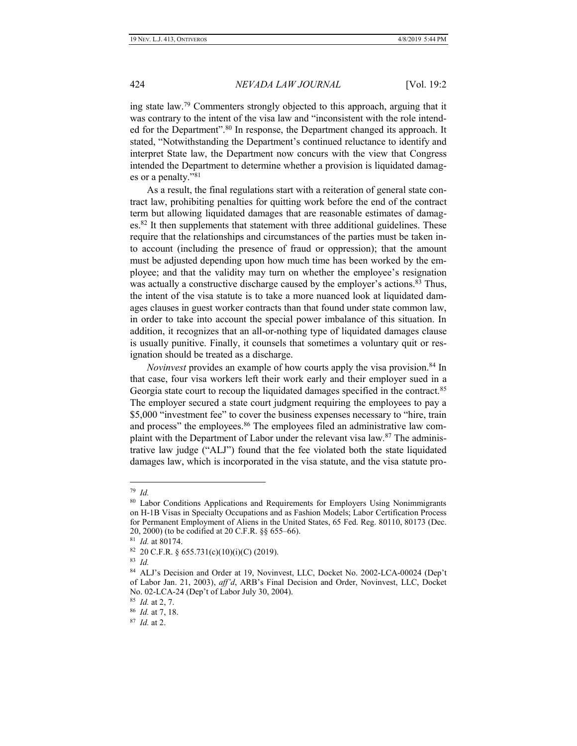ing state law.<sup>79</sup> Commenters strongly objected to this approach, arguing that it was contrary to the intent of the visa law and "inconsistent with the role intended for the Department".<sup>80</sup> In response, the Department changed its approach. It stated, "Notwithstanding the Department's continued reluctance to identify and interpret State law, the Department now concurs with the view that Congress intended the Department to determine whether a provision is liquidated damages or a penalty."<sup>81</sup>

As a result, the final regulations start with a reiteration of general state contract law, prohibiting penalties for quitting work before the end of the contract term but allowing liquidated damages that are reasonable estimates of damag $es.82$  It then supplements that statement with three additional guidelines. These require that the relationships and circumstances of the parties must be taken into account (including the presence of fraud or oppression); that the amount must be adjusted depending upon how much time has been worked by the employee; and that the validity may turn on whether the employee's resignation was actually a constructive discharge caused by the employer's actions.<sup>83</sup> Thus, the intent of the visa statute is to take a more nuanced look at liquidated damages clauses in guest worker contracts than that found under state common law, in order to take into account the special power imbalance of this situation. In addition, it recognizes that an all-or-nothing type of liquidated damages clause is usually punitive. Finally, it counsels that sometimes a voluntary quit or resignation should be treated as a discharge.

*Novinvest* provides an example of how courts apply the visa provision.<sup>84</sup> In that case, four visa workers left their work early and their employer sued in a Georgia state court to recoup the liquidated damages specified in the contract.<sup>85</sup> The employer secured a state court judgment requiring the employees to pay a \$5,000 "investment fee" to cover the business expenses necessary to "hire, train and process" the employees.<sup>86</sup> The employees filed an administrative law complaint with the Department of Labor under the relevant visa law.<sup>87</sup> The administrative law judge ("ALJ") found that the fee violated both the state liquidated damages law, which is incorporated in the visa statute, and the visa statute pro-

<sup>79</sup> *Id.*

<sup>&</sup>lt;sup>80</sup> Labor Conditions Applications and Requirements for Employers Using Nonimmigrants on H-1B Visas in Specialty Occupations and as Fashion Models; Labor Certification Process for Permanent Employment of Aliens in the United States, 65 Fed. Reg. 80110, 80173 (Dec. 20, 2000) (to be codified at 20 C.F.R. §§ 655–66).

<sup>81</sup> *Id.* at 80174.

 $82$  20 C.F.R. § 655.731(c)(10)(i)(C) (2019).

<sup>83</sup> *Id.*

<sup>84</sup> ALJ's Decision and Order at 19, Novinvest, LLC, Docket No. 2002-LCA-00024 (Dep't of Labor Jan. 21, 2003), *aff'd*, ARB's Final Decision and Order, Novinvest, LLC, Docket No. 02-LCA-24 (Dep't of Labor July 30, 2004).

<sup>85</sup> *Id.* at 2, 7.

<sup>86</sup> *Id.* at 7, 18.

<sup>87</sup> *Id.* at 2.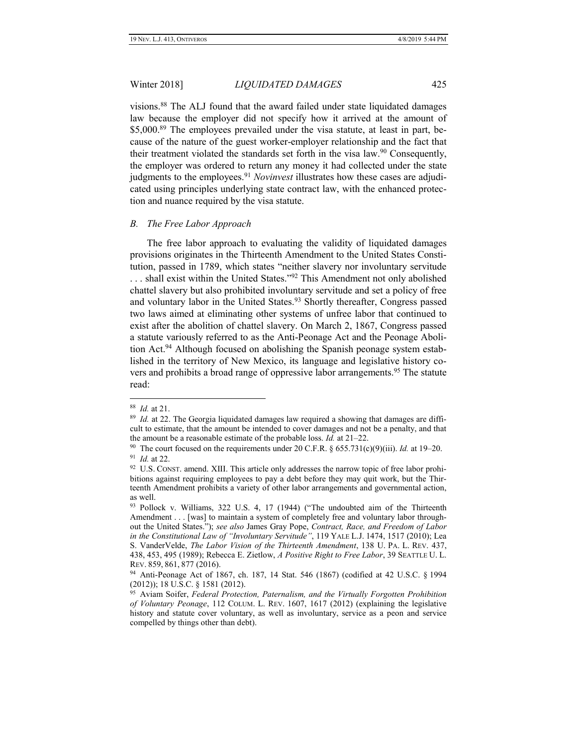visions.<sup>88</sup> The ALJ found that the award failed under state liquidated damages law because the employer did not specify how it arrived at the amount of \$5,000.<sup>89</sup> The employees prevailed under the visa statute, at least in part, because of the nature of the guest worker-employer relationship and the fact that their treatment violated the standards set forth in the visa law.<sup>90</sup> Consequently, the employer was ordered to return any money it had collected under the state judgments to the employees.<sup>91</sup> *Novinvest* illustrates how these cases are adjudicated using principles underlying state contract law, with the enhanced protection and nuance required by the visa statute.

### *B. The Free Labor Approach*

The free labor approach to evaluating the validity of liquidated damages provisions originates in the Thirteenth Amendment to the United States Constitution, passed in 1789, which states "neither slavery nor involuntary servitude ... shall exist within the United States."<sup>92</sup> This Amendment not only abolished chattel slavery but also prohibited involuntary servitude and set a policy of free and voluntary labor in the United States.<sup>93</sup> Shortly thereafter, Congress passed two laws aimed at eliminating other systems of unfree labor that continued to exist after the abolition of chattel slavery. On March 2, 1867, Congress passed a statute variously referred to as the Anti-Peonage Act and the Peonage Abolition Act.<sup>94</sup> Although focused on abolishing the Spanish peonage system established in the territory of New Mexico, its language and legislative history covers and prohibits a broad range of oppressive labor arrangements.<sup>95</sup> The statute read:

<sup>88</sup> *Id.* at 21.

<sup>&</sup>lt;sup>89</sup> Id. at 22. The Georgia liquidated damages law required a showing that damages are difficult to estimate, that the amount be intended to cover damages and not be a penalty, and that the amount be a reasonable estimate of the probable loss. *Id.* at 21–22.

<sup>&</sup>lt;sup>90</sup> The court focused on the requirements under 20 C.F.R.  $\S 655.731(c)(9)(iii)$ . *Id.* at 19–20. 91 *Id.* at 22.

 $92$  U.S. CONST. amend. XIII. This article only addresses the narrow topic of free labor prohibitions against requiring employees to pay a debt before they may quit work, but the Thirteenth Amendment prohibits a variety of other labor arrangements and governmental action, as well.

<sup>93</sup> Pollock v. Williams, 322 U.S. 4, 17 (1944) ("The undoubted aim of the Thirteenth Amendment . . . [was] to maintain a system of completely free and voluntary labor throughout the United States."); *see also* James Gray Pope, *Contract, Race, and Freedom of Labor in the Constitutional Law of "Involuntary Servitude"*, 119 YALE L.J. 1474, 1517 (2010); Lea S. VanderVelde, *The Labor Vision of the Thirteenth Amendment*, 138 U. PA. L. REV. 437, 438, 453, 495 (1989); Rebecca E. Zietlow, *A Positive Right to Free Labor*, 39 SEATTLE U. L. REV. 859, 861, 877 (2016).

<sup>94</sup> Anti-Peonage Act of 1867, ch. 187, 14 Stat. 546 (1867) (codified at 42 U.S.C. § 1994 (2012)); 18 U.S.C. § 1581 (2012).

<sup>95</sup> Aviam Soifer, *Federal Protection, Paternalism, and the Virtually Forgotten Prohibition of Voluntary Peonage*, 112 COLUM. L. REV. 1607, 1617 (2012) (explaining the legislative history and statute cover voluntary, as well as involuntary, service as a peon and service compelled by things other than debt).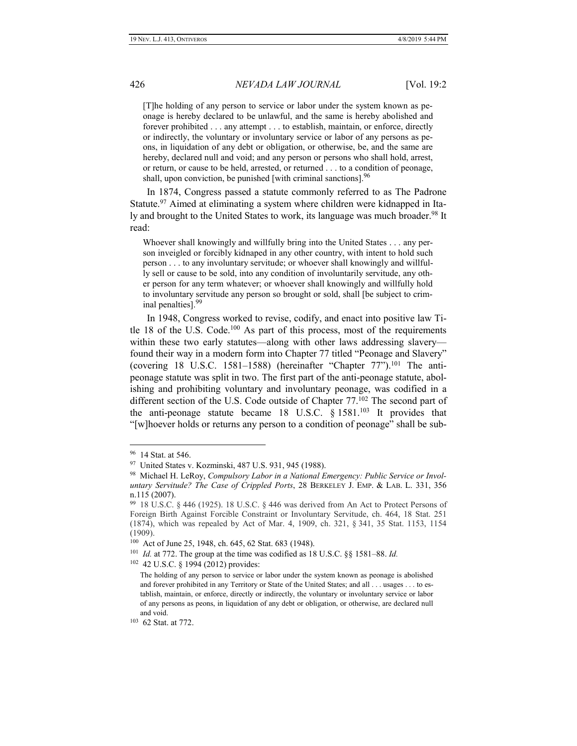[T]he holding of any person to service or labor under the system known as peonage is hereby declared to be unlawful, and the same is hereby abolished and forever prohibited . . . any attempt . . . to establish, maintain, or enforce, directly or indirectly, the voluntary or involuntary service or labor of any persons as peons, in liquidation of any debt or obligation, or otherwise, be, and the same are hereby, declared null and void; and any person or persons who shall hold, arrest, or return, or cause to be held, arrested, or returned . . . to a condition of peonage, shall, upon conviction, be punished [with criminal sanctions].<sup>96</sup>

In 1874, Congress passed a statute commonly referred to as The Padrone Statute.<sup>97</sup> Aimed at eliminating a system where children were kidnapped in Italy and brought to the United States to work, its language was much broader.<sup>98</sup> It read:

Whoever shall knowingly and willfully bring into the United States . . . any person inveigled or forcibly kidnaped in any other country, with intent to hold such person . . . to any involuntary servitude; or whoever shall knowingly and willfully sell or cause to be sold, into any condition of involuntarily servitude, any other person for any term whatever; or whoever shall knowingly and willfully hold to involuntary servitude any person so brought or sold, shall [be subject to criminal penalties].<sup>99</sup>

In 1948, Congress worked to revise, codify, and enact into positive law Title 18 of the U.S. Code.<sup>100</sup> As part of this process, most of the requirements within these two early statutes—along with other laws addressing slavery found their way in a modern form into Chapter 77 titled "Peonage and Slavery" (covering 18 U.S.C. 1581–1588) (hereinafter "Chapter  $77$ ").<sup>101</sup> The antipeonage statute was split in two. The first part of the anti-peonage statute, abolishing and prohibiting voluntary and involuntary peonage, was codified in a different section of the U.S. Code outside of Chapter 77.<sup>102</sup> The second part of the anti-peonage statute became 18 U.S.C.  $\S$  1581.<sup>103</sup> It provides that "[w]hoever holds or returns any person to a condition of peonage" shall be sub-

 $\overline{a}$ 

102 42 U.S.C. § 1994 (2012) provides:

<sup>96</sup> 14 Stat. at 546.

<sup>97</sup> United States v. Kozminski, 487 U.S. 931, 945 (1988).

<sup>98</sup> Michael H. LeRoy, *Compulsory Labor in a National Emergency: Public Service or Involuntary Servitude? The Case of Crippled Ports*, 28 BERKELEY J. EMP. & LAB. L. 331, 356 n.115 (2007).

<sup>99</sup> 18 U.S.C. § 446 (1925). 18 U.S.C. § 446 was derived from An Act to Protect Persons of Foreign Birth Against Forcible Constraint or Involuntary Servitude, ch. 464, 18 Stat. 251 (1874), which was repealed by Act of Mar. 4, 1909, ch. 321, § 341, 35 Stat. 1153, 1154 (1909).

<sup>100</sup> Act of June 25, 1948, ch. 645, 62 Stat. 683 (1948).

<sup>101</sup> *Id.* at 772. The group at the time was codified as 18 U.S.C. §§ 1581–88. *Id.*

The holding of any person to service or labor under the system known as peonage is abolished and forever prohibited in any Territory or State of the United States; and all . . . usages . . . to establish, maintain, or enforce, directly or indirectly, the voluntary or involuntary service or labor of any persons as peons, in liquidation of any debt or obligation, or otherwise, are declared null and void.

<sup>103</sup> 62 Stat. at 772.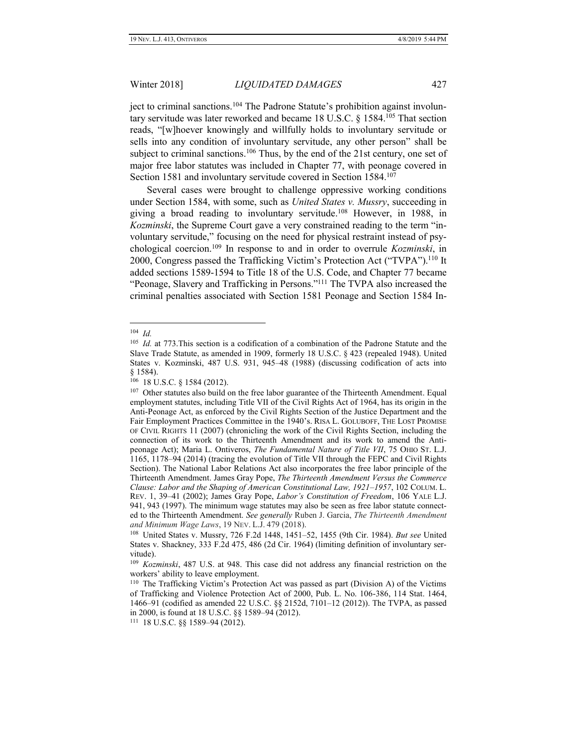ject to criminal sanctions.<sup>104</sup> The Padrone Statute's prohibition against involuntary servitude was later reworked and became 18 U.S.C. § 1584.<sup>105</sup> That section reads, "[w]hoever knowingly and willfully holds to involuntary servitude or sells into any condition of involuntary servitude, any other person" shall be subject to criminal sanctions.<sup>106</sup> Thus, by the end of the 21st century, one set of major free labor statutes was included in Chapter 77, with peonage covered in Section 1581 and involuntary servitude covered in Section 1584.<sup>107</sup>

Several cases were brought to challenge oppressive working conditions under Section 1584, with some, such as *United States v. Mussry*, succeeding in giving a broad reading to involuntary servitude.<sup>108</sup> However, in 1988, in *Kozminski*, the Supreme Court gave a very constrained reading to the term "involuntary servitude," focusing on the need for physical restraint instead of psychological coercion.<sup>109</sup> In response to and in order to overrule *Kozminski*, in 2000, Congress passed the Trafficking Victim's Protection Act ("TVPA").<sup>110</sup> It added sections 1589-1594 to Title 18 of the U.S. Code, and Chapter 77 became "Peonage, Slavery and Trafficking in Persons."<sup>111</sup> The TVPA also increased the criminal penalties associated with Section 1581 Peonage and Section 1584 In-

 104 *Id.*

<sup>105</sup> *Id.* at 773.This section is a codification of a combination of the Padrone Statute and the Slave Trade Statute, as amended in 1909, formerly 18 U.S.C. § 423 (repealed 1948). United States v. Kozminski, 487 U.S. 931, 945–48 (1988) (discussing codification of acts into § 1584).

<sup>106</sup> 18 U.S.C. § 1584 (2012).

<sup>&</sup>lt;sup>107</sup> Other statutes also build on the free labor guarantee of the Thirteenth Amendment. Equal employment statutes, including Title VII of the Civil Rights Act of 1964, has its origin in the Anti-Peonage Act, as enforced by the Civil Rights Section of the Justice Department and the Fair Employment Practices Committee in the 1940's. RISA L. GOLUBOFF, THE LOST PROMISE OF CIVIL RIGHTS 11 (2007) (chronicling the work of the Civil Rights Section, including the connection of its work to the Thirteenth Amendment and its work to amend the Antipeonage Act); Maria L. Ontiveros, *The Fundamental Nature of Title VII*, 75 OHIO ST. L.J. 1165, 1178–94 (2014) (tracing the evolution of Title VII through the FEPC and Civil Rights Section). The National Labor Relations Act also incorporates the free labor principle of the Thirteenth Amendment. James Gray Pope, *The Thirteenth Amendment Versus the Commerce Clause: Labor and the Shaping of American Constitutional Law, 1921–1957*, 102 COLUM. L. REV. 1, 39–41 (2002); James Gray Pope, *Labor's Constitution of Freedom*, 106 YALE L.J. 941, 943 (1997). The minimum wage statutes may also be seen as free labor statute connected to the Thirteenth Amendment. *See generally* Ruben J. Garcia, *The Thirteenth Amendment and Minimum Wage Laws*, 19 NEV. L.J. 479 (2018).

<sup>108</sup> United States v. Mussry, 726 F.2d 1448, 1451–52, 1455 (9th Cir. 1984). *But see* United States v. Shackney, 333 F.2d 475, 486 (2d Cir. 1964) (limiting definition of involuntary servitude).

<sup>109</sup> *Kozminski*, 487 U.S. at 948. This case did not address any financial restriction on the workers' ability to leave employment.

<sup>110</sup> The Trafficking Victim's Protection Act was passed as part (Division A) of the Victims of Trafficking and Violence Protection Act of 2000, Pub. L. No. 106-386, 114 Stat. 1464, 1466–91 (codified as amended 22 U.S.C. §§ 2152d, 7101–12 (2012)). The TVPA, as passed in 2000, is found at 18 U.S.C. §§ 1589–94 (2012).

<sup>111</sup> 18 U.S.C. §§ 1589–94 (2012).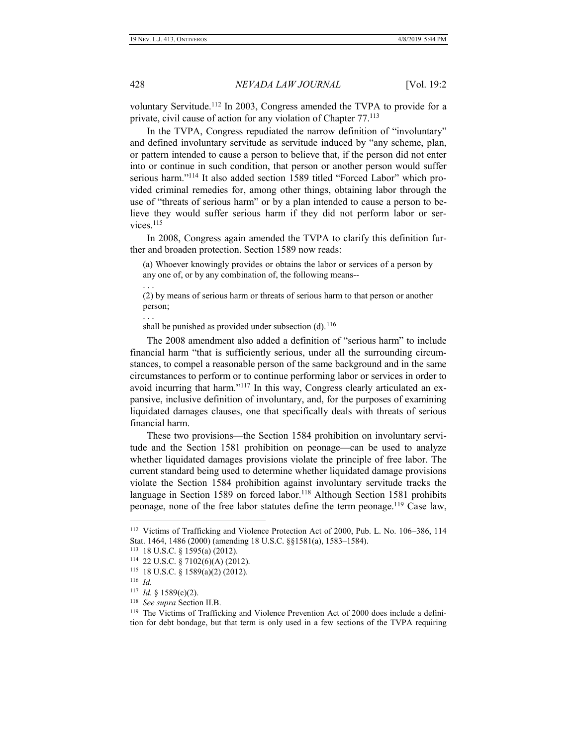voluntary Servitude.<sup>112</sup> In 2003, Congress amended the TVPA to provide for a private, civil cause of action for any violation of Chapter 77.<sup>113</sup>

In the TVPA, Congress repudiated the narrow definition of "involuntary" and defined involuntary servitude as servitude induced by "any scheme, plan, or pattern intended to cause a person to believe that, if the person did not enter into or continue in such condition, that person or another person would suffer serious harm."<sup>114</sup> It also added section 1589 titled "Forced Labor" which provided criminal remedies for, among other things, obtaining labor through the use of "threats of serious harm" or by a plan intended to cause a person to believe they would suffer serious harm if they did not perform labor or services<sup>115</sup>

In 2008, Congress again amended the TVPA to clarify this definition further and broaden protection. Section 1589 now reads:

(a) Whoever knowingly provides or obtains the labor or services of a person by any one of, or by any combination of, the following means--

. . .

(2) by means of serious harm or threats of serious harm to that person or another person;

. . .

shall be punished as provided under subsection  $(d)$ .<sup>116</sup>

The 2008 amendment also added a definition of "serious harm" to include financial harm "that is sufficiently serious, under all the surrounding circumstances, to compel a reasonable person of the same background and in the same circumstances to perform or to continue performing labor or services in order to avoid incurring that harm."<sup>117</sup> In this way, Congress clearly articulated an expansive, inclusive definition of involuntary, and, for the purposes of examining liquidated damages clauses, one that specifically deals with threats of serious financial harm.

These two provisions—the Section 1584 prohibition on involuntary servitude and the Section 1581 prohibition on peonage—can be used to analyze whether liquidated damages provisions violate the principle of free labor. The current standard being used to determine whether liquidated damage provisions violate the Section 1584 prohibition against involuntary servitude tracks the language in Section 1589 on forced labor.<sup>118</sup> Although Section 1581 prohibits peonage, none of the free labor statutes define the term peonage.<sup>119</sup> Case law,

<sup>112</sup> Victims of Trafficking and Violence Protection Act of 2000, Pub. L. No. 106–386, 114 Stat. 1464, 1486 (2000) (amending 18 U.S.C. §§1581(a), 1583–1584).

<sup>113</sup> 18 U.S.C. § 1595(a) (2012).

<sup>114</sup> 22 U.S.C. § 7102(6)(A) (2012).

<sup>115</sup> 18 U.S.C. § 1589(a)(2) (2012).

<sup>116</sup> *Id.*

<sup>117</sup> *Id.* § 1589(c)(2).

<sup>118</sup> *See supra* Section II.B.

<sup>&</sup>lt;sup>119</sup> The Victims of Trafficking and Violence Prevention Act of 2000 does include a definition for debt bondage, but that term is only used in a few sections of the TVPA requiring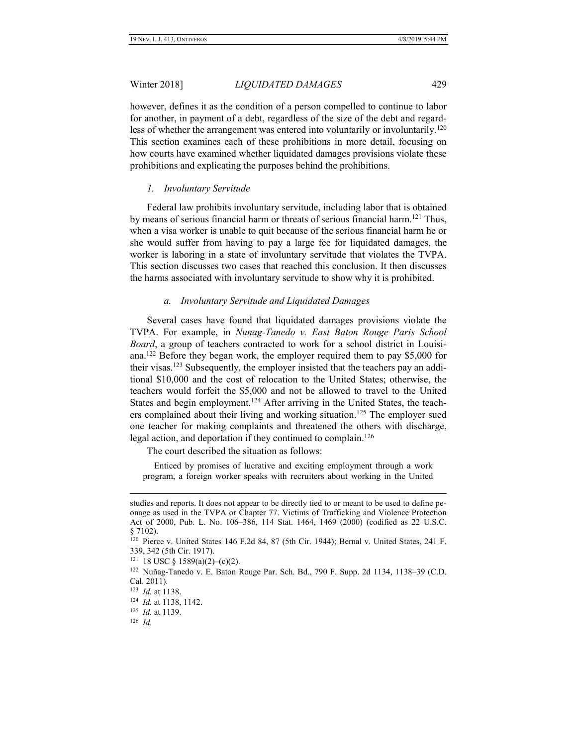however, defines it as the condition of a person compelled to continue to labor for another, in payment of a debt, regardless of the size of the debt and regardless of whether the arrangement was entered into voluntarily or involuntarily.<sup>120</sup> This section examines each of these prohibitions in more detail, focusing on how courts have examined whether liquidated damages provisions violate these prohibitions and explicating the purposes behind the prohibitions.

## *1. Involuntary Servitude*

Federal law prohibits involuntary servitude, including labor that is obtained by means of serious financial harm or threats of serious financial harm.<sup>121</sup> Thus, when a visa worker is unable to quit because of the serious financial harm he or she would suffer from having to pay a large fee for liquidated damages, the worker is laboring in a state of involuntary servitude that violates the TVPA. This section discusses two cases that reached this conclusion. It then discusses the harms associated with involuntary servitude to show why it is prohibited.

# *a. Involuntary Servitude and Liquidated Damages*

Several cases have found that liquidated damages provisions violate the TVPA. For example, in *Nunag-Tanedo v. East Baton Rouge Paris School Board*, a group of teachers contracted to work for a school district in Louisiana.<sup>122</sup> Before they began work, the employer required them to pay \$5,000 for their visas.<sup>123</sup> Subsequently, the employer insisted that the teachers pay an additional \$10,000 and the cost of relocation to the United States; otherwise, the teachers would forfeit the \$5,000 and not be allowed to travel to the United States and begin employment.<sup>124</sup> After arriving in the United States, the teachers complained about their living and working situation.<sup>125</sup> The employer sued one teacher for making complaints and threatened the others with discharge, legal action, and deportation if they continued to complain.<sup>126</sup>

The court described the situation as follows:

 Enticed by promises of lucrative and exciting employment through a work program, a foreign worker speaks with recruiters about working in the United

studies and reports. It does not appear to be directly tied to or meant to be used to define peonage as used in the TVPA or Chapter 77. Victims of Trafficking and Violence Protection Act of 2000, Pub. L. No. 106–386, 114 Stat. 1464, 1469 (2000) (codified as 22 U.S.C. § 7102).

<sup>120</sup> Pierce v. United States 146 F.2d 84, 87 (5th Cir. 1944); Bernal v. United States, 241 F. 339, 342 (5th Cir. 1917).

 $121$  18 USC § 1589(a)(2)–(c)(2).

<sup>122</sup> Nuñag-Tanedo v. E. Baton Rouge Par. Sch. Bd., 790 F. Supp. 2d 1134, 1138–39 (C.D. Cal. 2011).

<sup>123</sup> *Id.* at 1138.

<sup>124</sup> *Id.* at 1138, 1142.

<sup>125</sup> *Id.* at 1139.

<sup>126</sup> *Id.*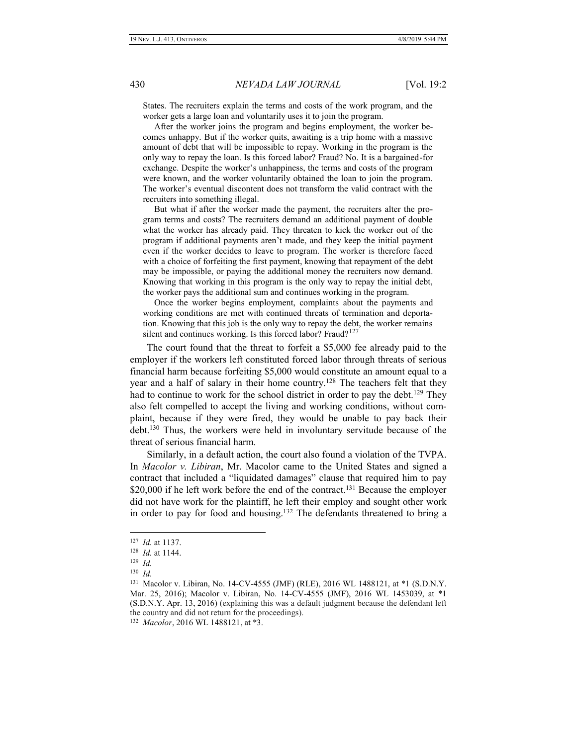States. The recruiters explain the terms and costs of the work program, and the worker gets a large loan and voluntarily uses it to join the program.

 After the worker joins the program and begins employment, the worker becomes unhappy. But if the worker quits, awaiting is a trip home with a massive amount of debt that will be impossible to repay. Working in the program is the only way to repay the loan. Is this forced labor? Fraud? No. It is a bargained-for exchange. Despite the worker's unhappiness, the terms and costs of the program were known, and the worker voluntarily obtained the loan to join the program. The worker's eventual discontent does not transform the valid contract with the recruiters into something illegal.

 But what if after the worker made the payment, the recruiters alter the program terms and costs? The recruiters demand an additional payment of double what the worker has already paid. They threaten to kick the worker out of the program if additional payments aren't made, and they keep the initial payment even if the worker decides to leave to program. The worker is therefore faced with a choice of forfeiting the first payment, knowing that repayment of the debt may be impossible, or paying the additional money the recruiters now demand. Knowing that working in this program is the only way to repay the initial debt, the worker pays the additional sum and continues working in the program.

 Once the worker begins employment, complaints about the payments and working conditions are met with continued threats of termination and deportation. Knowing that this job is the only way to repay the debt, the worker remains silent and continues working. Is this forced labor? Fraud?<sup>127</sup>

The court found that the threat to forfeit a \$5,000 fee already paid to the employer if the workers left constituted forced labor through threats of serious financial harm because forfeiting \$5,000 would constitute an amount equal to a year and a half of salary in their home country.<sup>128</sup> The teachers felt that they had to continue to work for the school district in order to pay the debt.<sup>129</sup> They also felt compelled to accept the living and working conditions, without complaint, because if they were fired, they would be unable to pay back their debt.<sup>130</sup> Thus, the workers were held in involuntary servitude because of the threat of serious financial harm.

Similarly, in a default action, the court also found a violation of the TVPA. In *Macolor v. Libiran*, Mr. Macolor came to the United States and signed a contract that included a "liquidated damages" clause that required him to pay \$20,000 if he left work before the end of the contract.<sup>131</sup> Because the employer did not have work for the plaintiff, he left their employ and sought other work in order to pay for food and housing.<sup>132</sup> The defendants threatened to bring a

<sup>127</sup> *Id.* at 1137.

<sup>128</sup> *Id.* at 1144.

<sup>129</sup> *Id.*

<sup>130</sup> *Id.*

<sup>131</sup> Macolor v. Libiran, No. 14-CV-4555 (JMF) (RLE), 2016 WL 1488121, at \*1 (S.D.N.Y. Mar. 25, 2016); Macolor v. Libiran, No. 14-CV-4555 (JMF), 2016 WL 1453039, at \*1 (S.D.N.Y. Apr. 13, 2016) (explaining this was a default judgment because the defendant left the country and did not return for the proceedings).

<sup>132</sup> *Macolor*, 2016 WL 1488121, at \*3.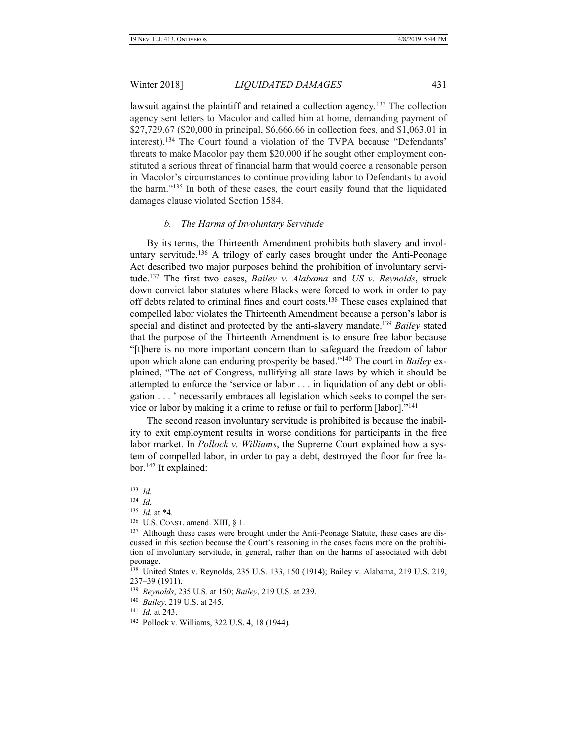lawsuit against the plaintiff and retained a collection agency.<sup>133</sup> The collection agency sent letters to Macolor and called him at home, demanding payment of \$27,729.67 (\$20,000 in principal, \$6,666.66 in collection fees, and \$1,063.01 in interest).<sup>134</sup> The Court found a violation of the TVPA because "Defendants' threats to make Macolor pay them \$20,000 if he sought other employment constituted a serious threat of financial harm that would coerce a reasonable person in Macolor's circumstances to continue providing labor to Defendants to avoid the harm."<sup>135</sup> In both of these cases, the court easily found that the liquidated damages clause violated Section 1584.

### *b. The Harms of Involuntary Servitude*

By its terms, the Thirteenth Amendment prohibits both slavery and involuntary servitude.<sup>136</sup> A trilogy of early cases brought under the Anti-Peonage Act described two major purposes behind the prohibition of involuntary servitude.<sup>137</sup> The first two cases, *Bailey v. Alabama* and *US v. Reynolds*, struck down convict labor statutes where Blacks were forced to work in order to pay off debts related to criminal fines and court costs.<sup>138</sup> These cases explained that compelled labor violates the Thirteenth Amendment because a person's labor is special and distinct and protected by the anti-slavery mandate.<sup>139</sup> *Bailey* stated that the purpose of the Thirteenth Amendment is to ensure free labor because "[t]here is no more important concern than to safeguard the freedom of labor upon which alone can enduring prosperity be based."<sup>140</sup> The court in *Bailey* explained, "The act of Congress, nullifying all state laws by which it should be attempted to enforce the 'service or labor . . . in liquidation of any debt or obligation . . . ' necessarily embraces all legislation which seeks to compel the service or labor by making it a crime to refuse or fail to perform [labor]."<sup>141</sup>

The second reason involuntary servitude is prohibited is because the inability to exit employment results in worse conditions for participants in the free labor market. In *Pollock v. Williams*, the Supreme Court explained how a system of compelled labor, in order to pay a debt, destroyed the floor for free labor.<sup>142</sup> It explained:

 $\overline{a}$ 

135 *Id.* at \*4.

140 *Bailey*, 219 U.S. at 245.

141 *Id.* at 243.

<sup>133</sup> *Id.*

<sup>134</sup> *Id.*

<sup>136</sup> U.S. CONST. amend. XIII, § 1.

<sup>&</sup>lt;sup>137</sup> Although these cases were brought under the Anti-Peonage Statute, these cases are discussed in this section because the Court's reasoning in the cases focus more on the prohibition of involuntary servitude, in general, rather than on the harms of associated with debt peonage.

<sup>138</sup> United States v. Reynolds, 235 U.S. 133, 150 (1914); Bailey v. Alabama, 219 U.S. 219, 237–39 (1911).

<sup>139</sup> *Reynolds*, 235 U.S. at 150; *Bailey*, 219 U.S. at 239.

<sup>142</sup> Pollock v. Williams, 322 U.S. 4, 18 (1944).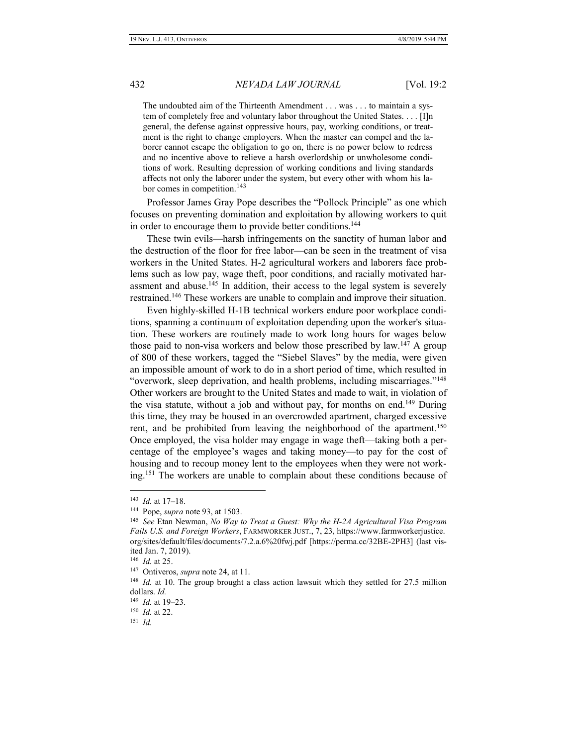The undoubted aim of the Thirteenth Amendment . . . was . . . to maintain a system of completely free and voluntary labor throughout the United States. . . . [I]n general, the defense against oppressive hours, pay, working conditions, or treatment is the right to change employers. When the master can compel and the laborer cannot escape the obligation to go on, there is no power below to redress and no incentive above to relieve a harsh overlordship or unwholesome conditions of work. Resulting depression of working conditions and living standards affects not only the laborer under the system, but every other with whom his labor comes in competition.<sup>143</sup>

Professor James Gray Pope describes the "Pollock Principle" as one which focuses on preventing domination and exploitation by allowing workers to quit in order to encourage them to provide better conditions.<sup>144</sup>

These twin evils—harsh infringements on the sanctity of human labor and the destruction of the floor for free labor—can be seen in the treatment of visa workers in the United States. H-2 agricultural workers and laborers face problems such as low pay, wage theft, poor conditions, and racially motivated harassment and abuse.<sup>145</sup> In addition, their access to the legal system is severely restrained.<sup>146</sup> These workers are unable to complain and improve their situation.

Even highly-skilled H-1B technical workers endure poor workplace conditions, spanning a continuum of exploitation depending upon the worker's situation. These workers are routinely made to work long hours for wages below those paid to non-visa workers and below those prescribed by law.<sup>147</sup> A group of 800 of these workers, tagged the "Siebel Slaves" by the media, were given an impossible amount of work to do in a short period of time, which resulted in "overwork, sleep deprivation, and health problems, including miscarriages."<sup>148</sup> Other workers are brought to the United States and made to wait, in violation of the visa statute, without a job and without pay, for months on end.<sup>149</sup> During this time, they may be housed in an overcrowded apartment, charged excessive rent, and be prohibited from leaving the neighborhood of the apartment.<sup>150</sup> Once employed, the visa holder may engage in wage theft—taking both a percentage of the employee's wages and taking money—to pay for the cost of housing and to recoup money lent to the employees when they were not working.<sup>151</sup> The workers are unable to complain about these conditions because of

<sup>143</sup> *Id.* at 17–18.

<sup>144</sup> Pope, *supra* note 93, at 1503.

<sup>145</sup> *See* Etan Newman, *No Way to Treat a Guest: Why the H-2A Agricultural Visa Program Fails U.S. and Foreign Workers*, FARMWORKER JUST., 7, 23, https://www.farmworkerjustice. org/sites/default/files/documents/7.2.a.6%20fwj.pdf [https://perma.cc/32BE-2PH3] (last visited Jan. 7, 2019).

<sup>146</sup> *Id.* at 25.

<sup>147</sup> Ontiveros, *supra* note 24, at 11.

<sup>&</sup>lt;sup>148</sup> *Id.* at 10. The group brought a class action lawsuit which they settled for 27.5 million dollars. *Id.*

<sup>149</sup> *Id.* at 19–23.

<sup>150</sup> *Id.* at 22.

<sup>151</sup> *Id.*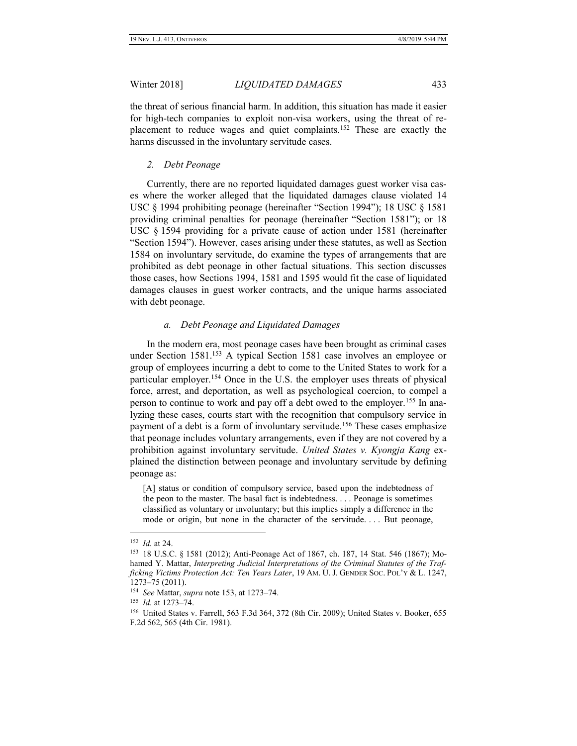the threat of serious financial harm. In addition, this situation has made it easier for high-tech companies to exploit non-visa workers, using the threat of replacement to reduce wages and quiet complaints.<sup>152</sup> These are exactly the harms discussed in the involuntary servitude cases.

# *2. Debt Peonage*

Currently, there are no reported liquidated damages guest worker visa cases where the worker alleged that the liquidated damages clause violated 14 USC § 1994 prohibiting peonage (hereinafter "Section 1994"); 18 USC § 1581 providing criminal penalties for peonage (hereinafter "Section 1581"); or 18 USC § 1594 providing for a private cause of action under 1581 (hereinafter "Section 1594"). However, cases arising under these statutes, as well as Section 1584 on involuntary servitude, do examine the types of arrangements that are prohibited as debt peonage in other factual situations. This section discusses those cases, how Sections 1994, 1581 and 1595 would fit the case of liquidated damages clauses in guest worker contracts, and the unique harms associated with debt peonage.

## *a. Debt Peonage and Liquidated Damages*

In the modern era, most peonage cases have been brought as criminal cases under Section 1581.<sup>153</sup> A typical Section 1581 case involves an employee or group of employees incurring a debt to come to the United States to work for a particular employer.<sup>154</sup> Once in the U.S. the employer uses threats of physical force, arrest, and deportation, as well as psychological coercion, to compel a person to continue to work and pay off a debt owed to the employer.<sup>155</sup> In analyzing these cases, courts start with the recognition that compulsory service in payment of a debt is a form of involuntary servitude.<sup>156</sup> These cases emphasize that peonage includes voluntary arrangements, even if they are not covered by a prohibition against involuntary servitude. *United States v. Kyongja Kang* explained the distinction between peonage and involuntary servitude by defining peonage as:

[A] status or condition of compulsory service, based upon the indebtedness of the peon to the master. The basal fact is indebtedness. . . . Peonage is sometimes classified as voluntary or involuntary; but this implies simply a difference in the mode or origin, but none in the character of the servitude. . . . But peonage,

<sup>152</sup> *Id.* at 24.

<sup>153</sup> 18 U.S.C. § 1581 (2012); Anti-Peonage Act of 1867, ch. 187, 14 Stat. 546 (1867); Mohamed Y. Mattar, *Interpreting Judicial Interpretations of the Criminal Statutes of the Trafficking Victims Protection Act: Ten Years Later*, 19 AM. U. J. GENDER SOC. POL'Y & L. 1247, 1273–75 (2011).

<sup>154</sup> *See* Mattar, *supra* note 153, at 1273–74.

<sup>155</sup> *Id.* at 1273–74.

<sup>156</sup> United States v. Farrell, 563 F.3d 364, 372 (8th Cir. 2009); United States v. Booker, 655 F.2d 562, 565 (4th Cir. 1981).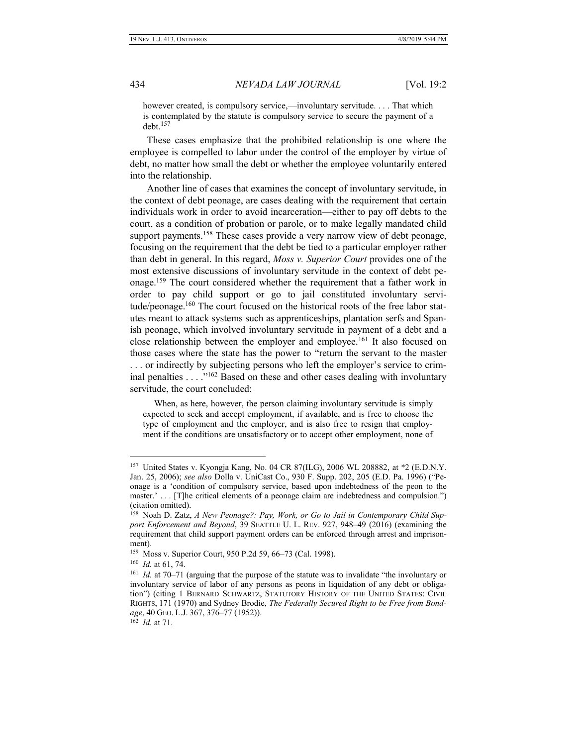however created, is compulsory service,—involuntary servitude. . . . That which is contemplated by the statute is compulsory service to secure the payment of a debt.<sup>157</sup>

These cases emphasize that the prohibited relationship is one where the employee is compelled to labor under the control of the employer by virtue of debt, no matter how small the debt or whether the employee voluntarily entered into the relationship.

Another line of cases that examines the concept of involuntary servitude, in the context of debt peonage, are cases dealing with the requirement that certain individuals work in order to avoid incarceration—either to pay off debts to the court, as a condition of probation or parole, or to make legally mandated child support payments.<sup>158</sup> These cases provide a very narrow view of debt peonage, focusing on the requirement that the debt be tied to a particular employer rather than debt in general. In this regard, *Moss v. Superior Court* provides one of the most extensive discussions of involuntary servitude in the context of debt peonage.<sup>159</sup> The court considered whether the requirement that a father work in order to pay child support or go to jail constituted involuntary servitude/peonage.<sup>160</sup> The court focused on the historical roots of the free labor statutes meant to attack systems such as apprenticeships, plantation serfs and Spanish peonage, which involved involuntary servitude in payment of a debt and a close relationship between the employer and employee.<sup>161</sup> It also focused on those cases where the state has the power to "return the servant to the master . . . or indirectly by subjecting persons who left the employer's service to criminal penalties . . . ."<sup>162</sup> Based on these and other cases dealing with involuntary servitude, the court concluded:

 When, as here, however, the person claiming involuntary servitude is simply expected to seek and accept employment, if available, and is free to choose the type of employment and the employer, and is also free to resign that employment if the conditions are unsatisfactory or to accept other employment, none of

 $\overline{a}$ 

162 *Id.* at 71.

<sup>157</sup> United States v. Kyongja Kang, No. 04 CR 87(ILG), 2006 WL 208882, at \*2 (E.D.N.Y. Jan. 25, 2006); *see also* Dolla v. UniCast Co., 930 F. Supp. 202, 205 (E.D. Pa. 1996) ("Peonage is a 'condition of compulsory service, based upon indebtedness of the peon to the master.' . . . [T]he critical elements of a peonage claim are indebtedness and compulsion.") (citation omitted).

<sup>158</sup> Noah D. Zatz, *A New Peonage?: Pay, Work, or Go to Jail in Contemporary Child Support Enforcement and Beyond*, 39 SEATTLE U. L. REV. 927, 948–49 (2016) (examining the requirement that child support payment orders can be enforced through arrest and imprisonment).

<sup>159</sup> Moss v. Superior Court, 950 P.2d 59, 66–73 (Cal. 1998).

<sup>160</sup> *Id.* at 61, 74.

<sup>&</sup>lt;sup>161</sup> *Id.* at 70–71 (arguing that the purpose of the statute was to invalidate "the involuntary or involuntary service of labor of any persons as peons in liquidation of any debt or obligation") (citing 1 BERNARD SCHWARTZ, STATUTORY HISTORY OF THE UNITED STATES: CIVIL RIGHTS, 171 (1970) and Sydney Brodie, *The Federally Secured Right to be Free from Bondage*, 40 GEO. L.J. 367, 376–77 (1952)).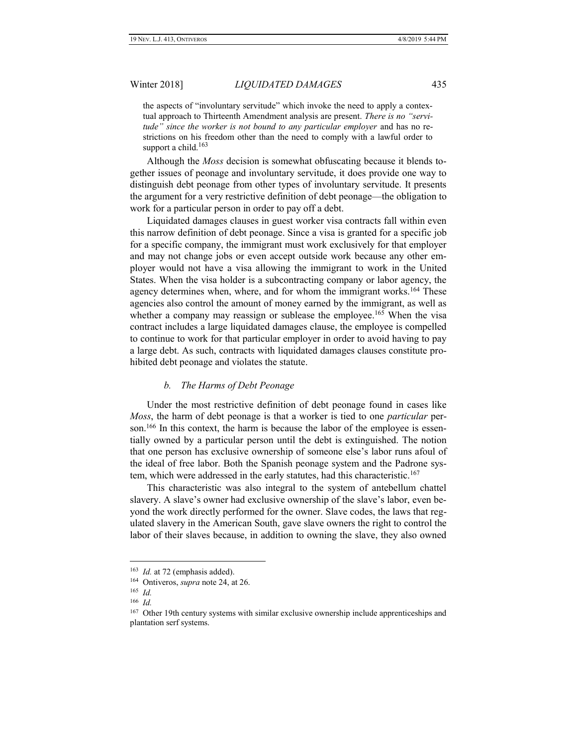the aspects of "involuntary servitude" which invoke the need to apply a contextual approach to Thirteenth Amendment analysis are present. *There is no "servitude" since the worker is not bound to any particular employer* and has no restrictions on his freedom other than the need to comply with a lawful order to support a child. $163$ 

Although the *Moss* decision is somewhat obfuscating because it blends together issues of peonage and involuntary servitude, it does provide one way to distinguish debt peonage from other types of involuntary servitude. It presents the argument for a very restrictive definition of debt peonage—the obligation to work for a particular person in order to pay off a debt.

Liquidated damages clauses in guest worker visa contracts fall within even this narrow definition of debt peonage. Since a visa is granted for a specific job for a specific company, the immigrant must work exclusively for that employer and may not change jobs or even accept outside work because any other employer would not have a visa allowing the immigrant to work in the United States. When the visa holder is a subcontracting company or labor agency, the agency determines when, where, and for whom the immigrant works.<sup>164</sup> These agencies also control the amount of money earned by the immigrant, as well as whether a company may reassign or sublease the employee.<sup>165</sup> When the visa contract includes a large liquidated damages clause, the employee is compelled to continue to work for that particular employer in order to avoid having to pay a large debt. As such, contracts with liquidated damages clauses constitute prohibited debt peonage and violates the statute.

# *b. The Harms of Debt Peonage*

Under the most restrictive definition of debt peonage found in cases like *Moss*, the harm of debt peonage is that a worker is tied to one *particular* person.<sup>166</sup> In this context, the harm is because the labor of the employee is essentially owned by a particular person until the debt is extinguished. The notion that one person has exclusive ownership of someone else's labor runs afoul of the ideal of free labor. Both the Spanish peonage system and the Padrone system, which were addressed in the early statutes, had this characteristic.<sup>167</sup>

This characteristic was also integral to the system of antebellum chattel slavery. A slave's owner had exclusive ownership of the slave's labor, even beyond the work directly performed for the owner. Slave codes, the laws that regulated slavery in the American South, gave slave owners the right to control the labor of their slaves because, in addition to owning the slave, they also owned

<sup>&</sup>lt;sup>163</sup> *Id.* at 72 (emphasis added).

<sup>164</sup> Ontiveros, *supra* note 24, at 26.

<sup>165</sup> *Id.*

<sup>166</sup> *Id.*

<sup>&</sup>lt;sup>167</sup> Other 19th century systems with similar exclusive ownership include apprenticeships and plantation serf systems.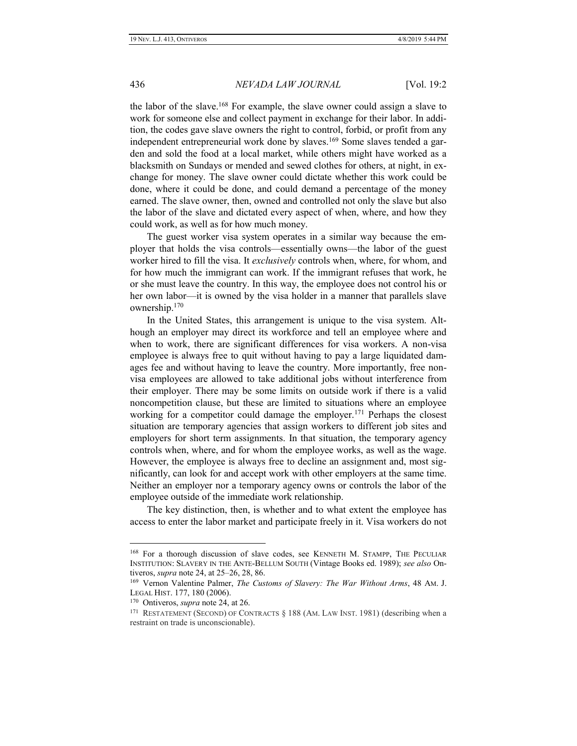the labor of the slave.<sup>168</sup> For example, the slave owner could assign a slave to work for someone else and collect payment in exchange for their labor. In addition, the codes gave slave owners the right to control, forbid, or profit from any independent entrepreneurial work done by slaves.<sup>169</sup> Some slaves tended a garden and sold the food at a local market, while others might have worked as a blacksmith on Sundays or mended and sewed clothes for others, at night, in exchange for money. The slave owner could dictate whether this work could be done, where it could be done, and could demand a percentage of the money earned. The slave owner, then, owned and controlled not only the slave but also the labor of the slave and dictated every aspect of when, where, and how they could work, as well as for how much money.

The guest worker visa system operates in a similar way because the employer that holds the visa controls—essentially owns—the labor of the guest worker hired to fill the visa. It *exclusively* controls when, where, for whom, and for how much the immigrant can work. If the immigrant refuses that work, he or she must leave the country. In this way, the employee does not control his or her own labor—it is owned by the visa holder in a manner that parallels slave ownership.<sup>170</sup>

In the United States, this arrangement is unique to the visa system. Although an employer may direct its workforce and tell an employee where and when to work, there are significant differences for visa workers. A non-visa employee is always free to quit without having to pay a large liquidated damages fee and without having to leave the country. More importantly, free nonvisa employees are allowed to take additional jobs without interference from their employer. There may be some limits on outside work if there is a valid noncompetition clause, but these are limited to situations where an employee working for a competitor could damage the employer.<sup>171</sup> Perhaps the closest situation are temporary agencies that assign workers to different job sites and employers for short term assignments. In that situation, the temporary agency controls when, where, and for whom the employee works, as well as the wage. However, the employee is always free to decline an assignment and, most significantly, can look for and accept work with other employers at the same time. Neither an employer nor a temporary agency owns or controls the labor of the employee outside of the immediate work relationship.

The key distinction, then, is whether and to what extent the employee has access to enter the labor market and participate freely in it. Visa workers do not

<sup>168</sup> For a thorough discussion of slave codes, see KENNETH M. STAMPP, THE PECULIAR INSTITUTION: SLAVERY IN THE ANTE-BELLUM SOUTH (Vintage Books ed. 1989); *see also* Ontiveros, *supra* note 24, at 25–26, 28, 86.

<sup>169</sup> Vernon Valentine Palmer, *The Customs of Slavery: The War Without Arms*, 48 AM. J. LEGAL HIST. 177, 180 (2006).

<sup>170</sup> Ontiveros, *supra* note 24, at 26.

<sup>&</sup>lt;sup>171</sup> RESTATEMENT (SECOND) OF CONTRACTS § 188 (AM. LAW INST. 1981) (describing when a restraint on trade is unconscionable).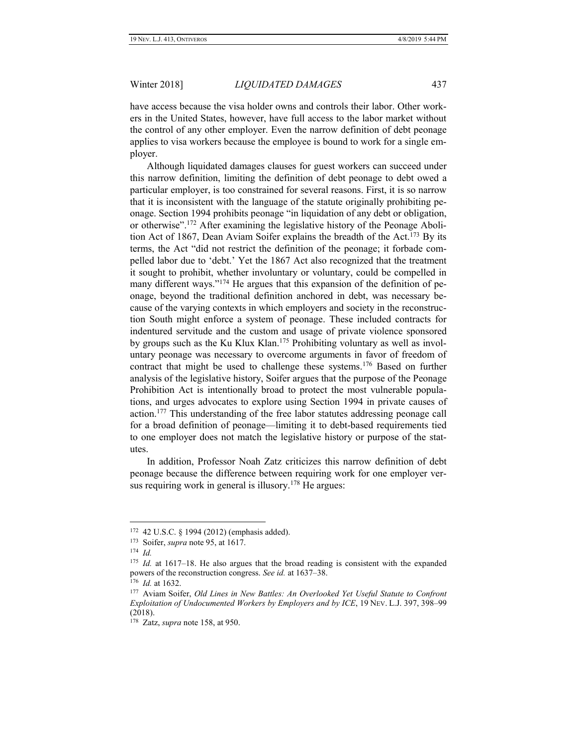have access because the visa holder owns and controls their labor. Other workers in the United States, however, have full access to the labor market without the control of any other employer. Even the narrow definition of debt peonage applies to visa workers because the employee is bound to work for a single employer.

Although liquidated damages clauses for guest workers can succeed under this narrow definition, limiting the definition of debt peonage to debt owed a particular employer, is too constrained for several reasons. First, it is so narrow that it is inconsistent with the language of the statute originally prohibiting peonage. Section 1994 prohibits peonage "in liquidation of any debt or obligation, or otherwise".<sup>172</sup> After examining the legislative history of the Peonage Abolition Act of 1867, Dean Aviam Soifer explains the breadth of the Act.<sup>173</sup> By its terms, the Act "did not restrict the definition of the peonage; it forbade compelled labor due to 'debt.' Yet the 1867 Act also recognized that the treatment it sought to prohibit, whether involuntary or voluntary, could be compelled in many different ways."<sup>174</sup> He argues that this expansion of the definition of peonage, beyond the traditional definition anchored in debt, was necessary because of the varying contexts in which employers and society in the reconstruction South might enforce a system of peonage. These included contracts for indentured servitude and the custom and usage of private violence sponsored by groups such as the Ku Klux Klan.<sup>175</sup> Prohibiting voluntary as well as involuntary peonage was necessary to overcome arguments in favor of freedom of contract that might be used to challenge these systems.<sup>176</sup> Based on further analysis of the legislative history, Soifer argues that the purpose of the Peonage Prohibition Act is intentionally broad to protect the most vulnerable populations, and urges advocates to explore using Section 1994 in private causes of action.<sup>177</sup> This understanding of the free labor statutes addressing peonage call for a broad definition of peonage—limiting it to debt-based requirements tied to one employer does not match the legislative history or purpose of the statutes.

In addition, Professor Noah Zatz criticizes this narrow definition of debt peonage because the difference between requiring work for one employer versus requiring work in general is illusory.<sup>178</sup> He argues:

<sup>172</sup> 42 U.S.C. § 1994 (2012) (emphasis added).

<sup>173</sup> Soifer, *supra* note 95, at 1617.

<sup>174</sup> *Id.*

<sup>&</sup>lt;sup>175</sup> *Id.* at 1617–18. He also argues that the broad reading is consistent with the expanded powers of the reconstruction congress. *See id.* at 1637–38.

<sup>176</sup> *Id.* at 1632.

<sup>177</sup> Aviam Soifer, *Old Lines in New Battles: An Overlooked Yet Useful Statute to Confront Exploitation of Undocumented Workers by Employers and by ICE*, 19 NEV. L.J. 397, 398–99 (2018).

<sup>178</sup> Zatz, *supra* note 158, at 950.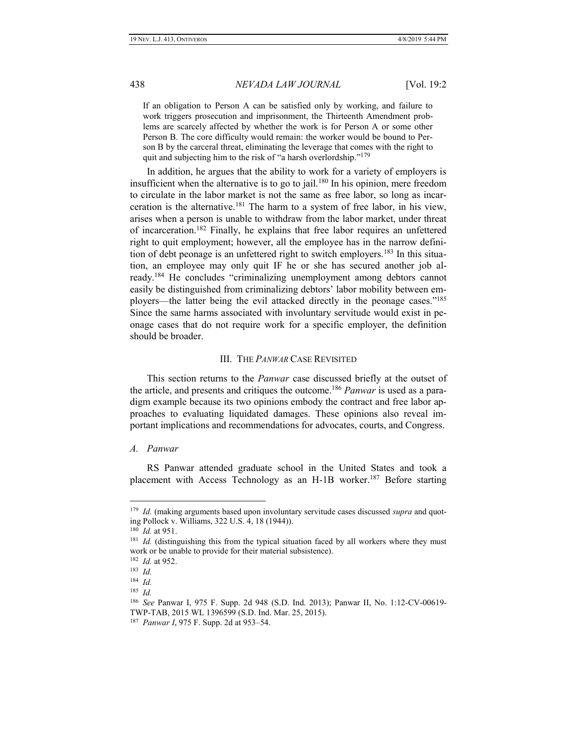If an obligation to Person A can be satisfied only by working, and failure to work triggers prosecution and imprisonment, the Thirteenth Amendment problems are scarcely affected by whether the work is for Person A or some other Person B. The core difficulty would remain: the worker would be bound to Person B by the carceral threat, eliminating the leverage that comes with the right to quit and subjecting him to the risk of "a harsh overlordship."<sup>179</sup>

In addition, he argues that the ability to work for a variety of employers is insufficient when the alternative is to go to jail.<sup>180</sup> In his opinion, mere freedom to circulate in the labor market is not the same as free labor, so long as incarceration is the alternative.<sup>181</sup> The harm to a system of free labor, in his view, arises when a person is unable to withdraw from the labor market, under threat of incarceration.<sup>182</sup> Finally, he explains that free labor requires an unfettered right to quit employment; however, all the employee has in the narrow definition of debt peonage is an unfettered right to switch employers.<sup>183</sup> In this situation, an employee may only quit IF he or she has secured another job already.<sup>184</sup> He concludes "criminalizing unemployment among debtors cannot easily be distinguished from criminalizing debtors' labor mobility between employers—the latter being the evil attacked directly in the peonage cases."<sup>185</sup> Since the same harms associated with involuntary servitude would exist in peonage cases that do not require work for a specific employer, the definition should be broader.

# III. THE *PANWAR* CASE REVISITED

This section returns to the *Panwar* case discussed briefly at the outset of the article, and presents and critiques the outcome.<sup>186</sup> *Panwar* is used as a paradigm example because its two opinions embody the contract and free labor approaches to evaluating liquidated damages. These opinions also reveal important implications and recommendations for advocates, courts, and Congress.

#### *A. Panwar*

RS Panwar attended graduate school in the United States and took a placement with Access Technology as an H-1B worker.<sup>187</sup> Before starting

<sup>179</sup> *Id.* (making arguments based upon involuntary servitude cases discussed *supra* and quoting Pollock v. Williams, 322 U.S. 4, 18 (1944)).

<sup>180</sup> *Id.* at 951.

<sup>&</sup>lt;sup>181</sup> *Id.* (distinguishing this from the typical situation faced by all workers where they must work or be unable to provide for their material subsistence).

<sup>182</sup> *Id.* at 952.

<sup>183</sup> *Id.*

<sup>184</sup> *Id.*

<sup>185</sup> *Id.*

<sup>186</sup> *See* Panwar I, 975 F. Supp. 2d 948 (S.D. Ind. 2013); Panwar II, No. 1:12-CV-00619- TWP-TAB, 2015 WL 1396599 (S.D. Ind. Mar. 25, 2015).

<sup>187</sup> *Panwar I*, 975 F. Supp. 2d at 953–54.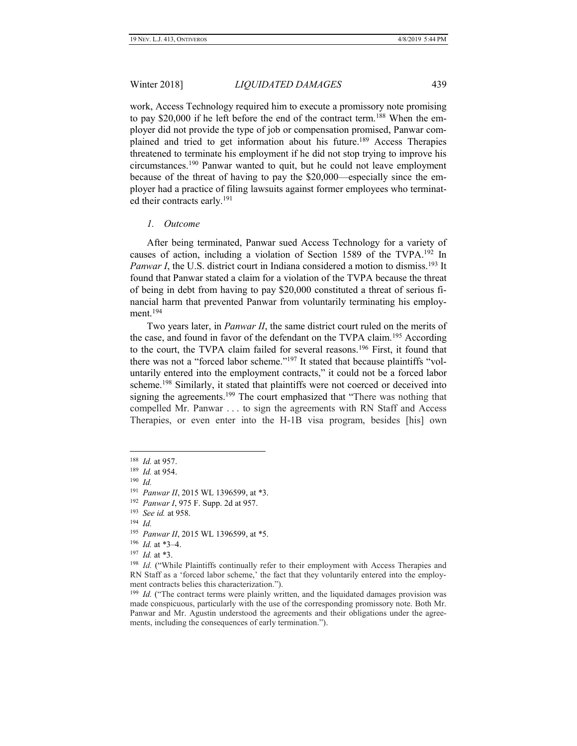work, Access Technology required him to execute a promissory note promising to pay \$20,000 if he left before the end of the contract term.<sup>188</sup> When the employer did not provide the type of job or compensation promised, Panwar complained and tried to get information about his future.<sup>189</sup> Access Therapies threatened to terminate his employment if he did not stop trying to improve his circumstances.<sup>190</sup> Panwar wanted to quit, but he could not leave employment because of the threat of having to pay the \$20,000—especially since the employer had a practice of filing lawsuits against former employees who terminated their contracts early.<sup>191</sup>

# *1. Outcome*

After being terminated, Panwar sued Access Technology for a variety of causes of action, including a violation of Section 1589 of the TVPA.<sup>192</sup> In Panwar I, the U.S. district court in Indiana considered a motion to dismiss.<sup>193</sup> It found that Panwar stated a claim for a violation of the TVPA because the threat of being in debt from having to pay \$20,000 constituted a threat of serious financial harm that prevented Panwar from voluntarily terminating his employment. $194$ 

Two years later, in *Panwar II*, the same district court ruled on the merits of the case, and found in favor of the defendant on the TVPA claim.<sup>195</sup> According to the court, the TVPA claim failed for several reasons.<sup>196</sup> First, it found that there was not a "forced labor scheme."<sup>197</sup> It stated that because plaintiffs "voluntarily entered into the employment contracts," it could not be a forced labor scheme.<sup>198</sup> Similarly, it stated that plaintiffs were not coerced or deceived into signing the agreements.<sup>199</sup> The court emphasized that "There was nothing that compelled Mr. Panwar . . . to sign the agreements with RN Staff and Access Therapies, or even enter into the H-1B visa program, besides [his] own

190 *Id.*

<sup>188</sup> *Id.* at 957.

<sup>189</sup> *Id.* at 954.

<sup>191</sup> *Panwar II*, 2015 WL 1396599, at \*3.

<sup>192</sup> *Panwar I*, 975 F. Supp. 2d at 957.

<sup>193</sup> *See id.* at 958.

<sup>194</sup> *Id.*

<sup>195</sup> *Panwar II*, 2015 WL 1396599, at \*5.

<sup>196</sup> *Id.* at \*3–4.

<sup>197</sup> *Id.* at \*3.

<sup>&</sup>lt;sup>198</sup> *Id.* ("While Plaintiffs continually refer to their employment with Access Therapies and RN Staff as a 'forced labor scheme,' the fact that they voluntarily entered into the employment contracts belies this characterization.").

<sup>&</sup>lt;sup>199</sup> *Id.* ("The contract terms were plainly written, and the liquidated damages provision was made conspicuous, particularly with the use of the corresponding promissory note. Both Mr. Panwar and Mr. Agustin understood the agreements and their obligations under the agreements, including the consequences of early termination.").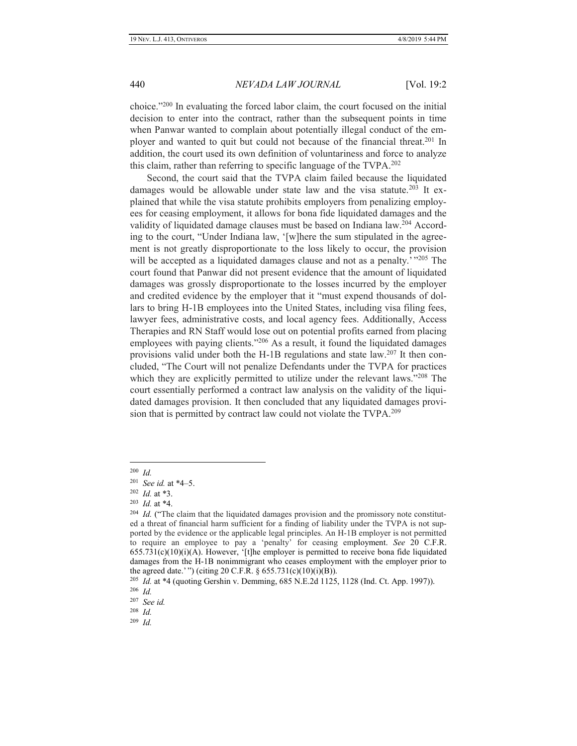choice."<sup>200</sup> In evaluating the forced labor claim, the court focused on the initial decision to enter into the contract, rather than the subsequent points in time when Panwar wanted to complain about potentially illegal conduct of the employer and wanted to quit but could not because of the financial threat.<sup>201</sup> In addition, the court used its own definition of voluntariness and force to analyze this claim, rather than referring to specific language of the TVPA.<sup>202</sup>

Second, the court said that the TVPA claim failed because the liquidated damages would be allowable under state law and the visa statute.<sup>203</sup> It explained that while the visa statute prohibits employers from penalizing employees for ceasing employment, it allows for bona fide liquidated damages and the validity of liquidated damage clauses must be based on Indiana law.<sup>204</sup> According to the court, "Under Indiana law, '[w]here the sum stipulated in the agreement is not greatly disproportionate to the loss likely to occur, the provision will be accepted as a liquidated damages clause and not as a penalty.'"<sup>205</sup> The court found that Panwar did not present evidence that the amount of liquidated damages was grossly disproportionate to the losses incurred by the employer and credited evidence by the employer that it "must expend thousands of dollars to bring H-1B employees into the United States, including visa filing fees, lawyer fees, administrative costs, and local agency fees. Additionally, Access Therapies and RN Staff would lose out on potential profits earned from placing employees with paying clients."<sup>206</sup> As a result, it found the liquidated damages provisions valid under both the H-1B regulations and state law.<sup>207</sup> It then concluded, "The Court will not penalize Defendants under the TVPA for practices which they are explicitly permitted to utilize under the relevant laws."<sup>208</sup> The court essentially performed a contract law analysis on the validity of the liquidated damages provision. It then concluded that any liquidated damages provision that is permitted by contract law could not violate the TVPA.<sup>209</sup>

 200 *Id.*

<sup>201</sup> *See id.* at \*4–5.

<sup>202</sup> *Id.* at \*3.

<sup>203</sup> *Id.* at \*4.

<sup>&</sup>lt;sup>204</sup> Id. ("The claim that the liquidated damages provision and the promissory note constituted a threat of financial harm sufficient for a finding of liability under the TVPA is not supported by the evidence or the applicable legal principles. An H-1B employer is not permitted to require an employee to pay a 'penalty' for ceasing employment. *See* 20 C.F.R.  $655.731(c)(10)(i)(A)$ . However, '[t]he employer is permitted to receive bona fide liquidated damages from the H-1B nonimmigrant who ceases employment with the employer prior to the agreed date.' ") (citing 20 C.F.R. § 655.731(c)(10)(i)(B)).

<sup>205</sup> *Id.* at \*4 (quoting Gershin v. Demming, 685 N.E.2d 1125, 1128 (Ind. Ct. App. 1997)).

<sup>206</sup> *Id.*

<sup>207</sup> *See id.*

<sup>208</sup> *Id.*

<sup>209</sup> *Id.*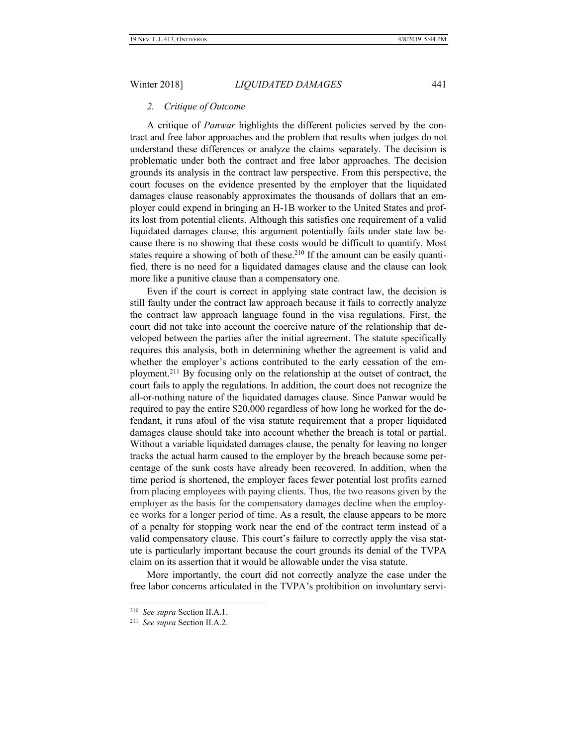# *2. Critique of Outcome*

A critique of *Panwar* highlights the different policies served by the contract and free labor approaches and the problem that results when judges do not understand these differences or analyze the claims separately. The decision is problematic under both the contract and free labor approaches. The decision grounds its analysis in the contract law perspective. From this perspective, the court focuses on the evidence presented by the employer that the liquidated damages clause reasonably approximates the thousands of dollars that an employer could expend in bringing an H-1B worker to the United States and profits lost from potential clients. Although this satisfies one requirement of a valid liquidated damages clause, this argument potentially fails under state law because there is no showing that these costs would be difficult to quantify. Most states require a showing of both of these.<sup>210</sup> If the amount can be easily quantified, there is no need for a liquidated damages clause and the clause can look more like a punitive clause than a compensatory one.

Even if the court is correct in applying state contract law, the decision is still faulty under the contract law approach because it fails to correctly analyze the contract law approach language found in the visa regulations. First, the court did not take into account the coercive nature of the relationship that developed between the parties after the initial agreement. The statute specifically requires this analysis, both in determining whether the agreement is valid and whether the employer's actions contributed to the early cessation of the employment.<sup>211</sup> By focusing only on the relationship at the outset of contract, the court fails to apply the regulations. In addition, the court does not recognize the all-or-nothing nature of the liquidated damages clause. Since Panwar would be required to pay the entire \$20,000 regardless of how long he worked for the defendant, it runs afoul of the visa statute requirement that a proper liquidated damages clause should take into account whether the breach is total or partial. Without a variable liquidated damages clause, the penalty for leaving no longer tracks the actual harm caused to the employer by the breach because some percentage of the sunk costs have already been recovered. In addition, when the time period is shortened, the employer faces fewer potential lost profits earned from placing employees with paying clients. Thus, the two reasons given by the employer as the basis for the compensatory damages decline when the employee works for a longer period of time. As a result, the clause appears to be more of a penalty for stopping work near the end of the contract term instead of a valid compensatory clause. This court's failure to correctly apply the visa statute is particularly important because the court grounds its denial of the TVPA claim on its assertion that it would be allowable under the visa statute.

More importantly, the court did not correctly analyze the case under the free labor concerns articulated in the TVPA's prohibition on involuntary servi-

<sup>210</sup> *See supra* Section II.A.1.

<sup>211</sup> *See supra* Section II.A.2.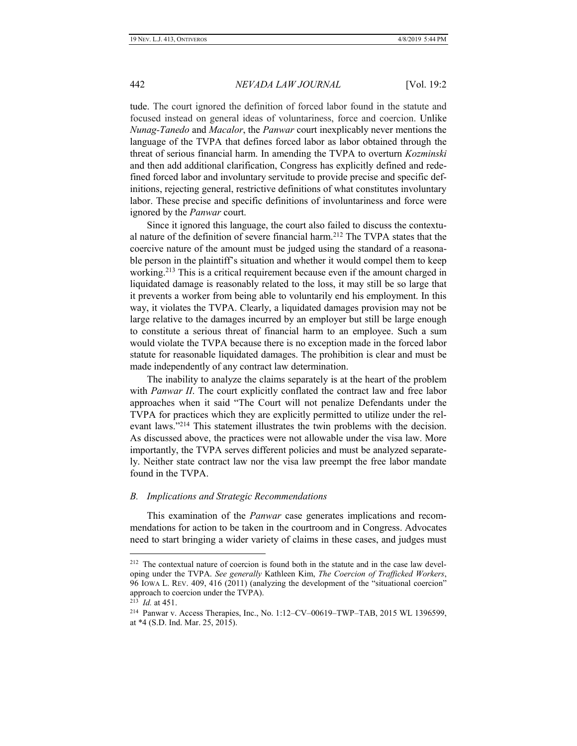tude. The court ignored the definition of forced labor found in the statute and focused instead on general ideas of voluntariness, force and coercion. Unlike *Nunag-Tanedo* and *Macalor*, the *Panwar* court inexplicably never mentions the language of the TVPA that defines forced labor as labor obtained through the threat of serious financial harm. In amending the TVPA to overturn *Kozminski*  and then add additional clarification, Congress has explicitly defined and redefined forced labor and involuntary servitude to provide precise and specific definitions, rejecting general, restrictive definitions of what constitutes involuntary labor. These precise and specific definitions of involuntariness and force were ignored by the *Panwar* court.

Since it ignored this language, the court also failed to discuss the contextual nature of the definition of severe financial harm.<sup>212</sup> The TVPA states that the coercive nature of the amount must be judged using the standard of a reasonable person in the plaintiff's situation and whether it would compel them to keep working.<sup>213</sup> This is a critical requirement because even if the amount charged in liquidated damage is reasonably related to the loss, it may still be so large that it prevents a worker from being able to voluntarily end his employment. In this way, it violates the TVPA. Clearly, a liquidated damages provision may not be large relative to the damages incurred by an employer but still be large enough to constitute a serious threat of financial harm to an employee. Such a sum would violate the TVPA because there is no exception made in the forced labor statute for reasonable liquidated damages. The prohibition is clear and must be made independently of any contract law determination.

The inability to analyze the claims separately is at the heart of the problem with *Panwar II*. The court explicitly conflated the contract law and free labor approaches when it said "The Court will not penalize Defendants under the TVPA for practices which they are explicitly permitted to utilize under the relevant laws."<sup>214</sup> This statement illustrates the twin problems with the decision. As discussed above, the practices were not allowable under the visa law. More importantly, the TVPA serves different policies and must be analyzed separately. Neither state contract law nor the visa law preempt the free labor mandate found in the TVPA.

# *B. Implications and Strategic Recommendations*

This examination of the *Panwar* case generates implications and recommendations for action to be taken in the courtroom and in Congress. Advocates need to start bringing a wider variety of claims in these cases, and judges must

<sup>&</sup>lt;sup>212</sup> The contextual nature of coercion is found both in the statute and in the case law developing under the TVPA. *See generally* Kathleen Kim, *The Coercion of Trafficked Workers*, 96 IOWA L. REV. 409, 416 (2011) (analyzing the development of the "situational coercion" approach to coercion under the TVPA).

<sup>213</sup> *Id.* at 451.

<sup>214</sup> Panwar v. Access Therapies, Inc., No. 1:12–CV–00619–TWP–TAB, 2015 WL 1396599, at \*4 (S.D. Ind. Mar. 25, 2015).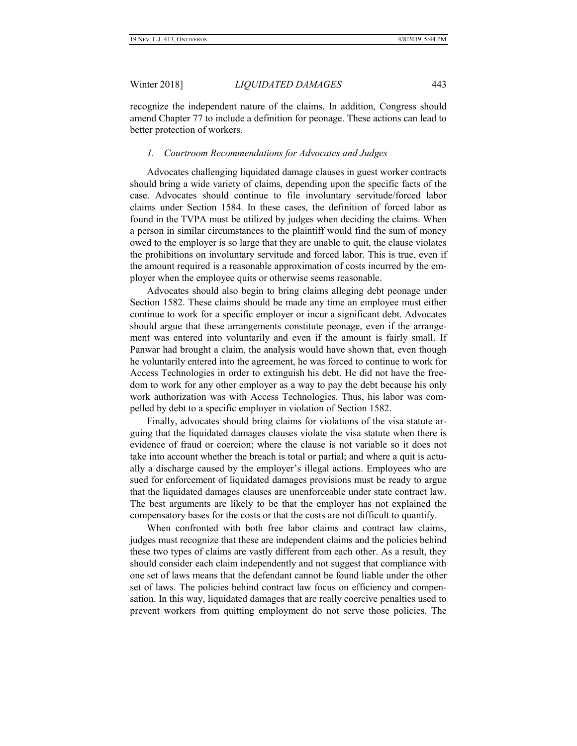recognize the independent nature of the claims. In addition, Congress should amend Chapter 77 to include a definition for peonage. These actions can lead to better protection of workers.

# *1. Courtroom Recommendations for Advocates and Judges*

Advocates challenging liquidated damage clauses in guest worker contracts should bring a wide variety of claims, depending upon the specific facts of the case. Advocates should continue to file involuntary servitude/forced labor claims under Section 1584. In these cases, the definition of forced labor as found in the TVPA must be utilized by judges when deciding the claims. When a person in similar circumstances to the plaintiff would find the sum of money owed to the employer is so large that they are unable to quit, the clause violates the prohibitions on involuntary servitude and forced labor. This is true, even if the amount required is a reasonable approximation of costs incurred by the employer when the employee quits or otherwise seems reasonable.

Advocates should also begin to bring claims alleging debt peonage under Section 1582. These claims should be made any time an employee must either continue to work for a specific employer or incur a significant debt. Advocates should argue that these arrangements constitute peonage, even if the arrangement was entered into voluntarily and even if the amount is fairly small. If Panwar had brought a claim, the analysis would have shown that, even though he voluntarily entered into the agreement, he was forced to continue to work for Access Technologies in order to extinguish his debt. He did not have the freedom to work for any other employer as a way to pay the debt because his only work authorization was with Access Technologies. Thus, his labor was compelled by debt to a specific employer in violation of Section 1582.

Finally, advocates should bring claims for violations of the visa statute arguing that the liquidated damages clauses violate the visa statute when there is evidence of fraud or coercion; where the clause is not variable so it does not take into account whether the breach is total or partial; and where a quit is actually a discharge caused by the employer's illegal actions. Employees who are sued for enforcement of liquidated damages provisions must be ready to argue that the liquidated damages clauses are unenforceable under state contract law. The best arguments are likely to be that the employer has not explained the compensatory bases for the costs or that the costs are not difficult to quantify.

When confronted with both free labor claims and contract law claims, judges must recognize that these are independent claims and the policies behind these two types of claims are vastly different from each other. As a result, they should consider each claim independently and not suggest that compliance with one set of laws means that the defendant cannot be found liable under the other set of laws. The policies behind contract law focus on efficiency and compensation. In this way, liquidated damages that are really coercive penalties used to prevent workers from quitting employment do not serve those policies. The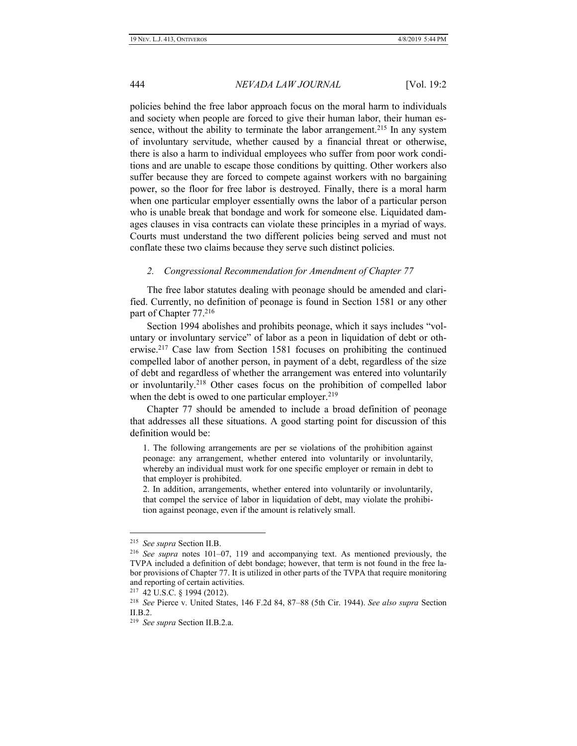policies behind the free labor approach focus on the moral harm to individuals and society when people are forced to give their human labor, their human essence, without the ability to terminate the labor arrangement.<sup>215</sup> In any system of involuntary servitude, whether caused by a financial threat or otherwise, there is also a harm to individual employees who suffer from poor work conditions and are unable to escape those conditions by quitting. Other workers also suffer because they are forced to compete against workers with no bargaining power, so the floor for free labor is destroyed. Finally, there is a moral harm when one particular employer essentially owns the labor of a particular person who is unable break that bondage and work for someone else. Liquidated damages clauses in visa contracts can violate these principles in a myriad of ways. Courts must understand the two different policies being served and must not conflate these two claims because they serve such distinct policies.

### *2. Congressional Recommendation for Amendment of Chapter 77*

The free labor statutes dealing with peonage should be amended and clarified. Currently, no definition of peonage is found in Section 1581 or any other part of Chapter 77.<sup>216</sup>

Section 1994 abolishes and prohibits peonage, which it says includes "voluntary or involuntary service" of labor as a peon in liquidation of debt or otherwise.<sup>217</sup> Case law from Section 1581 focuses on prohibiting the continued compelled labor of another person, in payment of a debt, regardless of the size of debt and regardless of whether the arrangement was entered into voluntarily or involuntarily.<sup>218</sup> Other cases focus on the prohibition of compelled labor when the debt is owed to one particular employer.<sup>219</sup>

Chapter 77 should be amended to include a broad definition of peonage that addresses all these situations. A good starting point for discussion of this definition would be:

1. The following arrangements are per se violations of the prohibition against peonage: any arrangement, whether entered into voluntarily or involuntarily, whereby an individual must work for one specific employer or remain in debt to that employer is prohibited.

2. In addition, arrangements, whether entered into voluntarily or involuntarily, that compel the service of labor in liquidation of debt, may violate the prohibition against peonage, even if the amount is relatively small.

<sup>215</sup> *See supra* Section II.B.

<sup>216</sup> *See supra* notes 101–07, 119 and accompanying text. As mentioned previously, the TVPA included a definition of debt bondage; however, that term is not found in the free labor provisions of Chapter 77. It is utilized in other parts of the TVPA that require monitoring and reporting of certain activities.

<sup>217</sup> 42 U.S.C. § 1994 (2012).

<sup>218</sup> *See* Pierce v. United States, 146 F.2d 84, 87–88 (5th Cir. 1944). *See also supra* Section II.B.2.

<sup>219</sup> *See supra* Section II.B.2.a.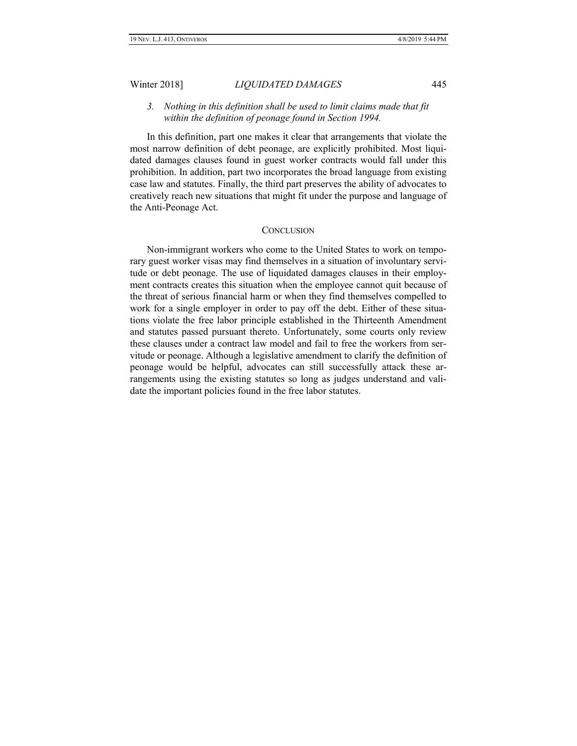# *3. Nothing in this definition shall be used to limit claims made that fit within the definition of peonage found in Section 1994.*

In this definition, part one makes it clear that arrangements that violate the most narrow definition of debt peonage, are explicitly prohibited. Most liquidated damages clauses found in guest worker contracts would fall under this prohibition. In addition, part two incorporates the broad language from existing case law and statutes. Finally, the third part preserves the ability of advocates to creatively reach new situations that might fit under the purpose and language of the Anti-Peonage Act.

#### **CONCLUSION**

Non-immigrant workers who come to the United States to work on temporary guest worker visas may find themselves in a situation of involuntary servitude or debt peonage. The use of liquidated damages clauses in their employment contracts creates this situation when the employee cannot quit because of the threat of serious financial harm or when they find themselves compelled to work for a single employer in order to pay off the debt. Either of these situations violate the free labor principle established in the Thirteenth Amendment and statutes passed pursuant thereto. Unfortunately, some courts only review these clauses under a contract law model and fail to free the workers from servitude or peonage. Although a legislative amendment to clarify the definition of peonage would be helpful, advocates can still successfully attack these arrangements using the existing statutes so long as judges understand and validate the important policies found in the free labor statutes.